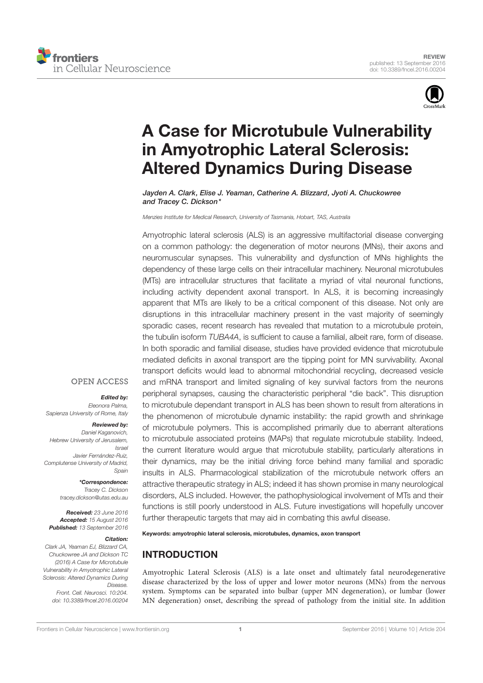



# A Case for Microtubule Vulnerability in Amyotrophic Lateral Sclerosis: Altered Dynamics During Disease

Jayden A. Clark, Elise J. Yeaman, Catherine A. Blizzard, Jyoti A. Chuckowree and Tracey C. Dickson\*

Menzies Institute for Medical Research, University of Tasmania, Hobart, TAS, Australia

Amyotrophic lateral sclerosis (ALS) is an aggressive multifactorial disease converging on a common pathology: the degeneration of motor neurons (MNs), their axons and neuromuscular synapses. This vulnerability and dysfunction of MNs highlights the dependency of these large cells on their intracellular machinery. Neuronal microtubules (MTs) are intracellular structures that facilitate a myriad of vital neuronal functions, including activity dependent axonal transport. In ALS, it is becoming increasingly apparent that MTs are likely to be a critical component of this disease. Not only are disruptions in this intracellular machinery present in the vast majority of seemingly sporadic cases, recent research has revealed that mutation to a microtubule protein, the tubulin isoform TUBA4A, is sufficient to cause a familial, albeit rare, form of disease. In both sporadic and familial disease, studies have provided evidence that microtubule mediated deficits in axonal transport are the tipping point for MN survivability. Axonal transport deficits would lead to abnormal mitochondrial recycling, decreased vesicle and mRNA transport and limited signaling of key survival factors from the neurons peripheral synapses, causing the characteristic peripheral "die back". This disruption to microtubule dependant transport in ALS has been shown to result from alterations in the phenomenon of microtubule dynamic instability: the rapid growth and shrinkage of microtubule polymers. This is accomplished primarily due to aberrant alterations to microtubule associated proteins (MAPs) that regulate microtubule stability. Indeed, the current literature would argue that microtubule stability, particularly alterations in their dynamics, may be the initial driving force behind many familial and sporadic insults in ALS. Pharmacological stabilization of the microtubule network offers an attractive therapeutic strategy in ALS; indeed it has shown promise in many neurological disorders, ALS included. However, the pathophysiological involvement of MTs and their functions is still poorly understood in ALS. Future investigations will hopefully uncover further therapeutic targets that may aid in combating this awful disease.

#### Keywords: amyotrophic lateral sclerosis, microtubules, dynamics, axon transport

### INTRODUCTION

Amyotrophic Lateral Sclerosis (ALS) is a late onset and ultimately fatal neurodegenerative disease characterized by the loss of upper and lower motor neurons (MNs) from the nervous system. Symptoms can be separated into bulbar (upper MN degeneration), or lumbar (lower MN degeneration) onset, describing the spread of pathology from the initial site. In addition

### **OPEN ACCESS**

#### Edited by:

Eleonora Palma, Sapienza University of Rome, Italy

#### Reviewed by:

Daniel Kaganovich, Hebrew University of Jerusalem, Israel Javier Fernández-Ruiz, Complutense University of Madrid, Spain

> \*Correspondence: Tracey C. Dickson tracey.dickson@utas.edu.au

Received: 23 June 2016 Accepted: 15 August 2016 Published: 13 September 2016

### Citation:

Clark JA, Yeaman EJ, Blizzard CA, Chuckowree JA and Dickson TC (2016) A Case for Microtubule Vulnerability in Amyotrophic Lateral Sclerosis: Altered Dynamics During Disease. Front. Cell. Neurosci. 10:204. doi: 10.3389/fncel.2016.00204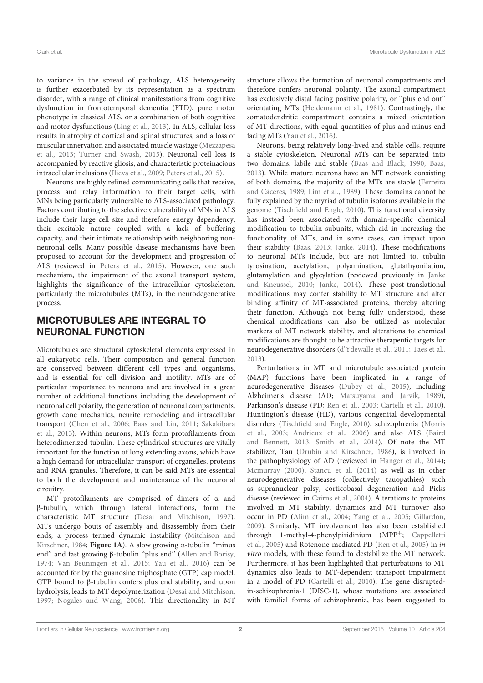to variance in the spread of pathology, ALS heterogeneity is further exacerbated by its representation as a spectrum disorder, with a range of clinical manifestations from cognitive dysfunction in frontotemporal dementia (FTD), pure motor phenotype in classical ALS, or a combination of both cognitive and motor dysfunctions (Ling et al., 2013). In ALS, cellular loss results in atrophy of cortical and spinal structures, and a loss of muscular innervation and associated muscle wastage (Mezzapesa et al., 2013; Turner and Swash, 2015). Neuronal cell loss is accompanied by reactive gliosis, and characteristic proteinacious intracellular inclusions (Ilieva et al., 2009; Peters et al., 2015).

Neurons are highly refined communicating cells that receive, process and relay information to their target cells, with MNs being particularly vulnerable to ALS-associated pathology. Factors contributing to the selective vulnerability of MNs in ALS include their large cell size and therefore energy dependency, their excitable nature coupled with a lack of buffering capacity, and their intimate relationship with neighboring nonneuronal cells. Many possible disease mechanisms have been proposed to account for the development and progression of ALS (reviewed in Peters et al., 2015). However, one such mechanism, the impairment of the axonal transport system, highlights the significance of the intracellular cytoskeleton, particularly the microtubules (MTs), in the neurodegenerative process.

# MICROTUBULES ARE INTEGRAL TO NEURONAL FUNCTION

Microtubules are structural cytoskeletal elements expressed in all eukaryotic cells. Their composition and general function are conserved between different cell types and organisms, and is essential for cell division and motility. MTs are of particular importance to neurons and are involved in a great number of additional functions including the development of neuronal cell polarity, the generation of neuronal compartments, growth cone mechanics, neurite remodeling and intracellular transport (Chen et al., 2006; Baas and Lin, 2011; Sakakibara et al., 2013). Within neurons, MTs form protofilaments from heterodimerized tubulin. These cylindrical structures are vitally important for the function of long extending axons, which have a high demand for intracellular transport of organelles, proteins and RNA granules. Therefore, it can be said MTs are essential to both the development and maintenance of the neuronal circuitry.

MT protofilaments are comprised of dimers of α and β-tubulin, which through lateral interactions, form the characteristic MT structure (Desai and Mitchison, 1997). MTs undergo bouts of assembly and disassembly from their ends, a process termed dynamic instability (Mitchison and Kirschner, 1984; **Figure 1A**). A slow growing <sup>α</sup>-tubulin ''minus end'' and fast growing β-tubulin ''plus end'' (Allen and Borisy, 1974; Van Beuningen et al., 2015; Yau et al., 2016) can be accounted for by the guanosine triphosphate (GTP) cap model. GTP bound to β-tubulin confers plus end stability, and upon hydrolysis, leads to MT depolymerization (Desai and Mitchison, 1997; Nogales and Wang, 2006). This directionality in MT

structure allows the formation of neuronal compartments and therefore confers neuronal polarity. The axonal compartment has exclusively distal facing positive polarity, or ''plus end out'' orientating MTs (Heidemann et al., 1981). Contrastingly, the somatodendritic compartment contains a mixed orientation of MT directions, with equal quantities of plus and minus end facing MTs (Yau et al., 2016).

Neurons, being relatively long-lived and stable cells, require a stable cytoskeleton. Neuronal MTs can be separated into two domains: labile and stable (Baas and Black, 1990; Baas, 2013). While mature neurons have an MT network consisting of both domains, the majority of the MTs are stable (Ferreira and Cáceres, 1989; Lim et al., 1989). These domains cannot be fully explained by the myriad of tubulin isoforms available in the genome (Tischfield and Engle, 2010). This functional diversity has instead been associated with domain-specific chemical modification to tubulin subunits, which aid in increasing the functionality of MTs, and in some cases, can impact upon their stability (Baas, 2013; Janke, 2014). These modifications to neuronal MTs include, but are not limited to, tubulin tyrosination, acetylation, polyamination, glutathyonilation, glutamylation and glycylation (reviewed previously in Janke and Kneussel, 2010; Janke, 2014). These post-translational modifications may confer stability to MT structure and alter binding affinity of MT-associated proteins, thereby altering their function. Although not being fully understood, these chemical modifications can also be utilized as molecular markers of MT network stability, and alterations to chemical modifications are thought to be attractive therapeutic targets for neurodegenerative disorders (d'Ydewalle et al., 2011; Taes et al., 2013).

Perturbations in MT and microtubule associated protein (MAP) functions have been implicated in a range of neurodegenerative diseases (Dubey et al., 2015), including Alzheimer's disease (AD; Matsuyama and Jarvik, 1989), Parkinson's disease (PD; Ren et al., 2003; Cartelli et al., 2010), Huntington's disease (HD), various congenital developmental disorders (Tischfield and Engle, 2010), schizophrenia (Morris et al., 2003; Andrieux et al., 2006) and also ALS (Baird and Bennett, 2013; Smith et al., 2014). Of note the MT stabilizer, Tau (Drubin and Kirschner, 1986), is involved in the pathophysiology of AD (reviewed in Hanger et al., 2014); Mcmurray (2000); Stancu et al. (2014) as well as in other neurodegenerative diseases (collectively tauopathies) such as supranuclear palsy, corticobasal degeneration and Picks disease (reviewed in Cairns et al., 2004). Alterations to proteins involved in MT stability, dynamics and MT turnover also occur in PD (Alim et al., 2004; Yang et al., 2005; Gillardon, 2009). Similarly, MT involvement has also been established through 1-methyl-4-phenylpiridinium (MPP+; Cappelletti et al., 2005) and Rotenone-mediated PD (Ren et al., 2005) in in vitro models, with these found to destabilize the MT network. Furthermore, it has been highlighted that perturbations to MT dynamics also leads to MT-dependent transport impairment in a model of PD (Cartelli et al., 2010). The gene disruptedin-schizophrenia-1 (DISC-1), whose mutations are associated with familial forms of schizophrenia, has been suggested to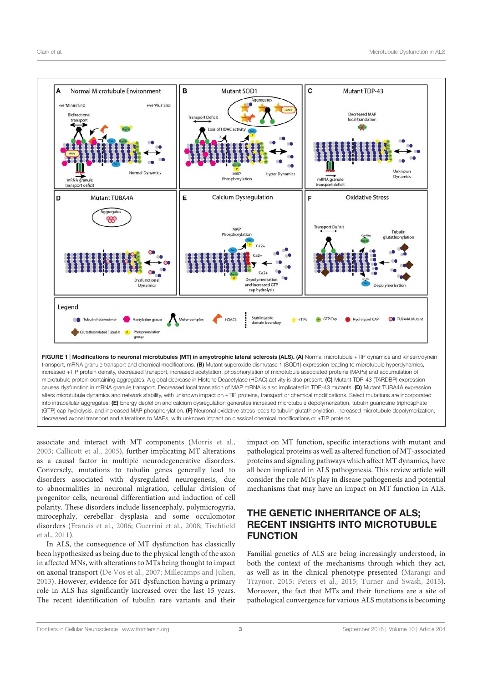

FIGURE 1 | Modifications to neuronal microtubules (MT) in amyotrophic lateral sclerosis (ALS). (A) Normal microtubule +TIP dynamics and kinesin/dynein transport, mRNA granule transport and chemical modifications. (B) Mutant superoxide dismutase 1 (SOD1) expression leading to microtubule hyperdynamics, increased +TIP protein density, decreased transport, increased acetylation, phosphorylation of microtubule associated proteins (MAPs) and accumulation of microtubule protein containing aggregates. A global decrease in Histone Deacetylase (HDAC) activity is also present. (C) Mutant TDP-43 (TARDBP) expression causes dysfunction in mRNA granule transport. Decreased local translation of MAP mRNA is also implicated in TDP-43 mutants. (D) Mutant TUBA4A expression alters microtubule dynamics and network stability, with unknown impact on +TIP proteins, transport or chemical modifications. Select mutations are incorporated into intracellular aggregates. (E) Energy depletion and calcium dysregulation generates increased microtubule depolymerization, tubulin guanosine triphosphate (GTP) cap hydrolysis, and increased MAP phosphorylation. (F) Neuronal oxidative stress leads to tubulin glutathionylation, increased microtubule depolymerization. decreased axonal transport and alterations to MAPs, with unknown impact on classical chemical modifications or +TIP proteins.

associate and interact with MT components (Morris et al., 2003; Callicott et al., 2005), further implicating MT alterations as a causal factor in multiple neurodegenerative disorders. Conversely, mutations to tubulin genes generally lead to disorders associated with dysregulated neurogenesis, due to abnormalities in neuronal migration, cellular division of progenitor cells, neuronal differentiation and induction of cell polarity. These disorders include lissencephaly, polymicrogyria, mirocephaly, cerebellar dysplasia and some occulomotor disorders (Francis et al., 2006; Guerrini et al., 2008; Tischfield et al., 2011).

In ALS, the consequence of MT dysfunction has classically been hypothesized as being due to the physical length of the axon in affected MNs, with alterations to MTs being thought to impact on axonal transport (De Vos et al., 2007; Millecamps and Julien, 2013). However, evidence for MT dysfunction having a primary role in ALS has significantly increased over the last 15 years. The recent identification of tubulin rare variants and their

impact on MT function, specific interactions with mutant and pathological proteins as well as altered function of MT-associated proteins and signaling pathways which affect MT dynamics, have all been implicated in ALS pathogenesis. This review article will consider the role MTs play in disease pathogenesis and potential mechanisms that may have an impact on MT function in ALS.

# THE GENETIC INHERITANCE OF ALS; RECENT INSIGHTS INTO MICROTUBULE FUNCTION

Familial genetics of ALS are being increasingly understood, in both the context of the mechanisms through which they act, as well as in the clinical phenotype presented (Marangi and Traynor, 2015; Peters et al., 2015; Turner and Swash, 2015). Moreover, the fact that MTs and their functions are a site of pathological convergence for various ALS mutations is becoming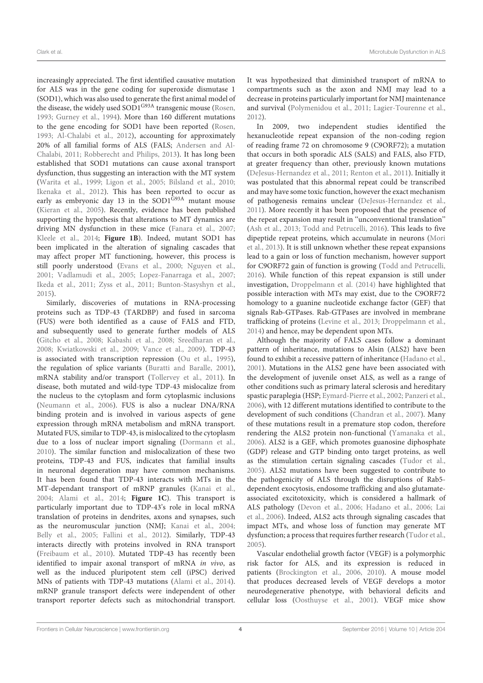increasingly appreciated. The first identified causative mutation for ALS was in the gene coding for superoxide dismutase 1 (SOD1), which was also used to generate the first animal model of the disease, the widely used SOD1<sup>G93A</sup> transgenic mouse (Rosen, 1993; Gurney et al., 1994). More than 160 different mutations to the gene encoding for SOD1 have been reported (Rosen, 1993; Al-Chalabi et al., 2012), accounting for approximately 20% of all familial forms of ALS (FALS; Andersen and Al-Chalabi, 2011; Robberecht and Philips, 2013). It has long been established that SOD1 mutations can cause axonal transport dysfunction, thus suggesting an interaction with the MT system (Warita et al., 1999; Ligon et al., 2005; Bilsland et al., 2010; Ikenaka et al., 2012). This has been reported to occur as early as embryonic day 13 in the SOD1<sup>G93A</sup> mutant mouse (Kieran et al., 2005). Recently, evidence has been published supporting the hypothesis that alterations to MT dynamics are driving MN dysfunction in these mice (Fanara et al., 2007; Kleele et al., 2014; **Figure 1B**). Indeed, mutant SOD1 has been implicated in the alteration of signaling cascades that may affect proper MT functioning, however, this process is still poorly understood (Evans et al., 2000; Nguyen et al., 2001; Vadlamudi et al., 2005; Lopez-Fanarraga et al., 2007; Ikeda et al., 2011; Zyss et al., 2011; Bunton-Stasyshyn et al., 2015).

Similarly, discoveries of mutations in RNA-processing proteins such as TDP-43 (TARDBP) and fused in sarcoma (FUS) were both identified as a cause of FALS and FTD, and subsequently used to generate further models of ALS (Gitcho et al., 2008; Kabashi et al., 2008; Sreedharan et al., 2008; Kwiatkowski et al., 2009; Vance et al., 2009). TDP-43 is associated with transcription repression (Ou et al., 1995), the regulation of splice variants (Buratti and Baralle, 2001), mRNA stability and/or transport (Tollervey et al., 2011). In disease, both mutated and wild-type TDP-43 mislocalize from the nucleus to the cytoplasm and form cytoplasmic inclusions (Neumann et al., 2006). FUS is also a nuclear DNA/RNA binding protein and is involved in various aspects of gene expression through mRNA metabolism and mRNA transport. Mutated FUS, similar to TDP-43, is mislocalized to the cytoplasm due to a loss of nuclear import signaling (Dormann et al., 2010). The similar function and mislocalization of these two proteins, TDP-43 and FUS, indicates that familial insults in neuronal degeneration may have common mechanisms. It has been found that TDP-43 interacts with MTs in the MT-dependant transport of mRNP granules (Kanai et al., 2004; Alami et al., 2014; **Figure 1C**). This transport is particularly important due to TDP-43's role in local mRNA translation of proteins in dendrites, axons and synapses, such as the neuromuscular junction (NMJ; Kanai et al., 2004; Belly et al., 2005; Fallini et al., 2012). Similarly, TDP-43 interacts directly with proteins involved in RNA transport (Freibaum et al., 2010). Mutated TDP-43 has recently been identified to impair axonal transport of mRNA in vivo, as well as the induced pluripotent stem cell (iPSC) derived MNs of patients with TDP-43 mutations (Alami et al., 2014). mRNP granule transport defects were independent of other transport reporter defects such as mitochondrial transport.

It was hypothesized that diminished transport of mRNA to compartments such as the axon and NMJ may lead to a decrease in proteins particularly important for NMJ maintenance and survival (Polymenidou et al., 2011; Lagier-Tourenne et al., 2012).

In 2009, two independent studies identified the hexanucleotide repeat expansion of the non-coding region of reading frame 72 on chromosome 9 (C9ORF72); a mutation that occurs in both sporadic ALS (SALS) and FALS, also FTD, at greater frequency than other, previously known mutations (DeJesus-Hernandez et al., 2011; Renton et al., 2011). Initially it was postulated that this abnormal repeat could be transcribed and may have some toxic function, however the exact mechanism of pathogenesis remains unclear (DeJesus-Hernandez et al., 2011). More recently it has been proposed that the presence of the repeat expansion may result in ''unconventional translation'' (Ash et al., 2013; Todd and Petrucelli, 2016). This leads to five dipeptide repeat proteins, which accumulate in neurons (Mori et al., 2013). It is still unknown whether these repeat expansions lead to a gain or loss of function mechanism, however support for C9ORF72 gain of function is growing (Todd and Petrucelli, 2016). While function of this repeat expansion is still under investigation, Droppelmann et al. (2014) have highlighted that possible interaction with MTs may exist, due to the C9ORF72 homology to a guanine nucleotide exchange factor (GEF) that signals Rab-GTPases. Rab-GTPases are involved in membrane trafficking of proteins (Levine et al., 2013; Droppelmann et al., 2014) and hence, may be dependent upon MTs.

Although the majority of FALS cases follow a dominant pattern of inheritance, mutations to Alsin (ALS2) have been found to exhibit a recessive pattern of inheritance (Hadano et al., 2001). Mutations in the ALS2 gene have been associated with the development of juvenile onset ALS, as well as a range of other conditions such as primary lateral sclerosis and hereditary spastic paraplegia (HSP; Eymard-Pierre et al., 2002; Panzeri et al., 2006), with 12 different mutations identified to contribute to the development of such conditions (Chandran et al., 2007). Many of these mutations result in a premature stop codon, therefore rendering the ALS2 protein non-functional (Yamanaka et al., 2006). ALS2 is a GEF, which promotes guanosine diphosphate (GDP) release and GTP binding onto target proteins, as well as the stimulation certain signaling cascades (Tudor et al., 2005). ALS2 mutations have been suggested to contribute to the pathogenicity of ALS through the disruptions of Rab5 dependent exocytosis, endosome trafficking and also glutamateassociated excitotoxicity, which is considered a hallmark of ALS pathology (Devon et al., 2006; Hadano et al., 2006; Lai et al., 2006). Indeed, ALS2 acts through signaling cascades that impact MTs, and whose loss of function may generate MT dysfunction; a process that requires further research (Tudor et al., 2005).

Vascular endothelial growth factor (VEGF) is a polymorphic risk factor for ALS, and its expression is reduced in patients (Brockington et al., 2006, 2010). A mouse model that produces decreased levels of VEGF develops a motor neurodegenerative phenotype, with behavioral deficits and cellular loss (Oosthuyse et al., 2001). VEGF mice show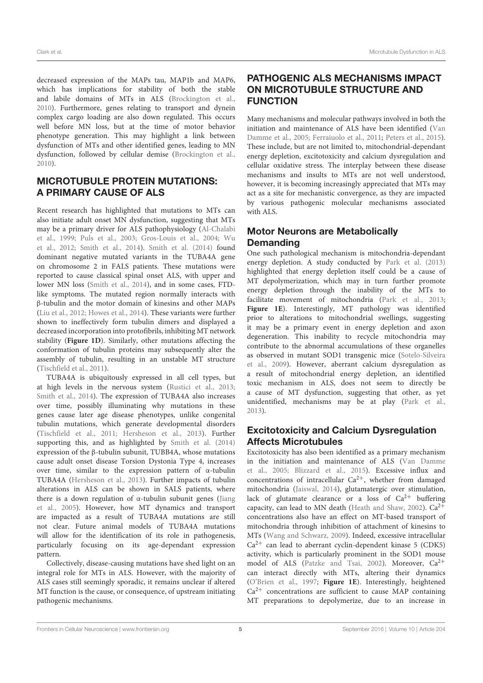decreased expression of the MAPs tau, MAP1b and MAP6, which has implications for stability of both the stable and labile domains of MTs in ALS (Brockington et al., 2010). Furthermore, genes relating to transport and dynein complex cargo loading are also down regulated. This occurs well before MN loss, but at the time of motor behavior phenotype generation. This may highlight a link between dysfunction of MTs and other identified genes, leading to MN dysfunction, followed by cellular demise (Brockington et al., 2010).

### MICROTUBULE PROTEIN MUTATIONS: A PRIMARY CAUSE OF ALS

Recent research has highlighted that mutations to MTs can also initiate adult onset MN dysfunction, suggesting that MTs may be a primary driver for ALS pathophysiology (Al-Chalabi et al., 1999; Puls et al., 2003; Gros-Louis et al., 2004; Wu et al., 2012; Smith et al., 2014). Smith et al. (2014) found dominant negative mutated variants in the TUBA4A gene on chromosome 2 in FALS patients. These mutations were reported to cause classical spinal onset ALS, with upper and lower MN loss (Smith et al., 2014), and in some cases, FTDlike symptoms. The mutated region normally interacts with β-tubulin and the motor domain of kinesins and other MAPs (Liu et al., 2012; Howes et al., 2014). These variants were further shown to ineffectively form tubulin dimers and displayed a decreased incorporation into protofibrils, inhibiting MT network stability (**Figure 1D**). Similarly, other mutations affecting the conformation of tubulin proteins may subsequently alter the assembly of tubulin, resulting in an unstable MT structure (Tischfield et al., 2011).

TUBA4A is ubiquitously expressed in all cell types, but at high levels in the nervous system (Rustici et al., 2013; Smith et al., 2014). The expression of TUBA4A also increases over time, possibly illuminating why mutations in these genes cause later age disease phenotypes, unlike congenital tubulin mutations, which generate developmental disorders (Tischfield et al., 2011; Hersheson et al., 2013). Further supporting this, and as highlighted by Smith et al. (2014) expression of the β-tubulin subunit, TUBB4A, whose mutations cause adult onset disease Torsion Dystonia Type 4, increases over time, similar to the expression pattern of α-tubulin TUBA4A (Hersheson et al., 2013). Further impacts of tubulin alterations in ALS can be shown in SALS patients, where there is a down regulation of  $\alpha$ -tubulin subunit genes (Jiang et al., 2005). However, how MT dynamics and transport are impacted as a result of TUBA4A mutations are still not clear. Future animal models of TUBA4A mutations will allow for the identification of its role in pathogenesis, particularly focusing on its age-dependant expression pattern.

Collectively, disease-causing mutations have shed light on an integral role for MTs in ALS. However, with the majority of ALS cases still seemingly sporadic, it remains unclear if altered MT function is the cause, or consequence, of upstream initiating pathogenic mechanisms.

# PATHOGENIC ALS MECHANISMS IMPACT ON MICROTUBULE STRUCTURE AND FUNCTION

Many mechanisms and molecular pathways involved in both the initiation and maintenance of ALS have been identified (Van Damme et al., 2005; Ferraiuolo et al., 2011; Peters et al., 2015). These include, but are not limited to, mitochondrial-dependant energy depletion, excitotoxicity and calcium dysregulation and cellular oxidative stress. The interplay between these disease mechanisms and insults to MTs are not well understood, however, it is becoming increasingly appreciated that MTs may act as a site for mechanistic convergence, as they are impacted by various pathogenic molecular mechanisms associated with ALS.

# Motor Neurons are Metabolically **Demanding**

One such pathological mechanism is mitochondria-dependant energy depletion. A study conducted by Park et al. (2013) highlighted that energy depletion itself could be a cause of MT depolymerization, which may in turn further promote energy depletion through the inability of the MTs to facilitate movement of mitochondria (Park et al., 2013; **Figure 1E**). Interestingly, MT pathology was identified prior to alterations to mitochondrial swellings, suggesting it may be a primary event in energy depletion and axon degeneration. This inability to recycle mitochondria may contribute to the abnormal accumulations of these organelles as observed in mutant SOD1 transgenic mice (Sotelo-Silveira et al., 2009). However, aberrant calcium dysregulation as a result of mitochondrial energy depletion, an identified toxic mechanism in ALS, does not seem to directly be a cause of MT dysfunction, suggesting that other, as yet unidentified, mechanisms may be at play (Park et al., 2013).

# Excitotoxicity and Calcium Dysregulation Affects Microtubules

Excitotoxicity has also been identified as a primary mechanism in the initiation and maintenance of ALS (Van Damme et al., 2005; Blizzard et al., 2015). Excessive influx and concentrations of intracellular  $Ca^{2+}$ , whether from damaged mitochondria (Jaiswal, 2014), glutamatergic over stimulation, lack of glutamate clearance or a loss of  $Ca^{2+}$  buffering capacity, can lead to MN death (Heath and Shaw, 2002).  $Ca^{2+}$ concentrations also have an effect on MT-based transport of mitochondria through inhibition of attachment of kinesins to MTs (Wang and Schwarz, 2009). Indeed, excessive intracellular  $Ca<sup>2+</sup>$  can lead to aberrant cyclin-dependent kinase 5 (CDK5) activity, which is particularly prominent in the SOD1 mouse model of ALS (Patzke and Tsai, 2002). Moreover, Ca<sup>2+</sup> can interact directly with MTs, altering their dynamics (O'Brien et al., 1997; **Figure 1E**). Interestingly, heightened  $Ca<sup>2+</sup>$  concentrations are sufficient to cause MAP containing MT preparations to depolymerize, due to an increase in

Frontiers in Cellular Neuroscience | www.frontiersin.org 5 5 September 2016 | Volume 10 | Article 204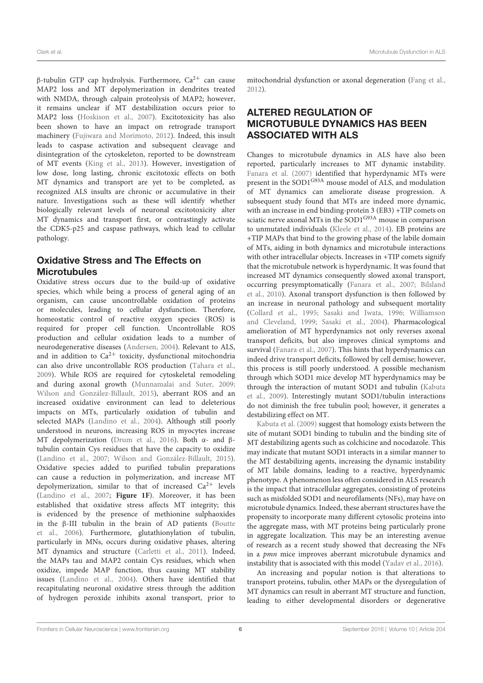β-tubulin GTP cap hydrolysis. Furthermore, Ca2<sup>+</sup> can cause MAP2 loss and MT depolymerization in dendrites treated with NMDA, through calpain proteolysis of MAP2; however, it remains unclear if MT destabilization occurs prior to MAP2 loss (Hoskison et al., 2007). Excitotoxicity has also been shown to have an impact on retrograde transport machinery (Fujiwara and Morimoto, 2012). Indeed, this insult leads to caspase activation and subsequent cleavage and disintegration of the cytoskeleton, reported to be downstream of MT events (King et al., 2013). However, investigation of low dose, long lasting, chronic excitotoxic effects on both MT dynamics and transport are yet to be completed, as recognized ALS insults are chronic or accumulative in their nature. Investigations such as these will identify whether biologically relevant levels of neuronal excitotoxicity alter MT dynamics and transport first, or contrastingly activate the CDK5-p25 and caspase pathways, which lead to cellular pathology.

# Oxidative Stress and The Effects on **Microtubules**

Oxidative stress occurs due to the build-up of oxidative species, which while being a process of general aging of an organism, can cause uncontrollable oxidation of proteins or molecules, leading to cellular dysfunction. Therefore, homeostatic control of reactive oxygen species (ROS) is required for proper cell function. Uncontrollable ROS production and cellular oxidation leads to a number of neurodegenerative diseases (Andersen, 2004). Relevant to ALS, and in addition to  $Ca^{2+}$  toxicity, dysfunctional mitochondria can also drive uncontrollable ROS production (Tahara et al., 2009). While ROS are required for cytoskeletal remodeling and during axonal growth (Munnamalai and Suter, 2009; Wilson and González-Billault, 2015), aberrant ROS and an increased oxidative environment can lead to deleterious impacts on MTs, particularly oxidation of tubulin and selected MAPs (Landino et al., 2004). Although still poorly understood in neurons, increasing ROS in myocytes increase MT depolymerization (Drum et al., 2016). Both α- and βtubulin contain Cys residues that have the capacity to oxidize (Landino et al., 2007; Wilson and González-Billault, 2015). Oxidative species added to purified tubulin preparations can cause a reduction in polymerization, and increase MT depolymerization, similar to that of increased  $Ca^{2+}$  levels (Landino et al., 2007; **Figure 1F**). Moreover, it has been established that oxidative stress affects MT integrity; this is evidenced by the presence of methionine sulphaoxides in the β-III tubulin in the brain of AD patients (Boutte et al., 2006). Furthermore, glutathionylation of tubulin, particularly in MNs, occurs during oxidative phases, altering MT dynamics and structure (Carletti et al., 2011). Indeed, the MAPs tau and MAP2 contain Cys residues, which when oxidize, impede MAP function, thus causing MT stability issues (Landino et al., 2004). Others have identified that recapitulating neuronal oxidative stress through the addition of hydrogen peroxide inhibits axonal transport, prior to

mitochondrial dysfunction or axonal degeneration (Fang et al., 2012).

# ALTERED REGULATION OF MICROTUBULE DYNAMICS HAS BEEN ASSOCIATED WITH ALS

Changes to microtubule dynamics in ALS have also been reported, particularly increases to MT dynamic instability. Fanara et al. (2007) identified that hyperdynamic MTs were present in the SOD1G93A mouse model of ALS, and modulation of MT dynamics can ameliorate disease progression. A subsequent study found that MTs are indeed more dynamic, with an increase in end binding-protein 3 (EB3) +TIP comets on sciatic nerve axonal MTs in the SOD1<sup>G93A</sup> mouse in comparison to unmutated individuals (Kleele et al., 2014). EB proteins are +TIP MAPs that bind to the growing phase of the labile domain of MTs, aiding in both dynamics and microtubule interactions with other intracellular objects. Increases in +TIP comets signify that the microtubule network is hyperdynamic. It was found that increased MT dynamics consequently slowed axonal transport, occurring presymptomatically (Fanara et al., 2007; Bilsland et al., 2010). Axonal transport dysfunction is then followed by an increase in neuronal pathology and subsequent mortality (Collard et al., 1995; Sasaki and Iwata, 1996; Williamson and Cleveland, 1999; Sasaki et al., 2004). Pharmacological amelioration of MT hyperdynamics not only reverses axonal transport deficits, but also improves clinical symptoms and survival (Fanara et al., 2007). This hints that hyperdynamics can indeed drive transport deficits, followed by cell demise; however, this process is still poorly understood. A possible mechanism through which SOD1 mice develop MT hyperdynamics may be through the interaction of mutant SOD1 and tubulin (Kabuta et al., 2009). Interestingly mutant SOD1/tubulin interactions do not diminish the free tubulin pool; however, it generates a destabilizing effect on MT.

Kabuta et al. (2009) suggest that homology exists between the site of mutant SOD1 binding to tubulin and the binding site of MT destabilizing agents such as colchicine and nocodazole. This may indicate that mutant SOD1 interacts in a similar manner to the MT destabilizing agents, increasing the dynamic instability of MT labile domains, leading to a reactive, hyperdynamic phenotype. A phenomenon less often considered in ALS research is the impact that intracellular aggregates, consisting of proteins such as misfolded SOD1 and neurofilaments (NFs), may have on microtubule dynamics. Indeed, these aberrant structures have the propensity to incorporate many different cytosolic proteins into the aggregate mass, with MT proteins being particularly prone in aggregate localization. This may be an interesting avenue of research as a recent study showed that decreasing the NFs in a pmn mice improves aberrant microtubule dynamics and instability that is associated with this model (Yadav et al., 2016).

An increasing and popular notion is that alterations to transport proteins, tubulin, other MAPs or the dysregulation of MT dynamics can result in aberrant MT structure and function, leading to either developmental disorders or degenerative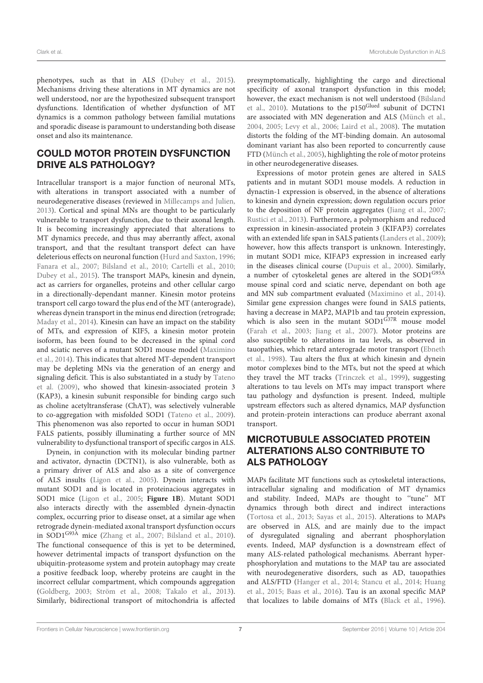phenotypes, such as that in ALS (Dubey et al., 2015). Mechanisms driving these alterations in MT dynamics are not well understood, nor are the hypothesized subsequent transport dysfunctions. Identification of whether dysfunction of MT dynamics is a common pathology between familial mutations and sporadic disease is paramount to understanding both disease onset and also its maintenance.

# COULD MOTOR PROTEIN DYSFUNCTION DRIVE ALS PATHOLOGY?

Intracellular transport is a major function of neuronal MTs, with alterations in transport associated with a number of neurodegenerative diseases (reviewed in Millecamps and Julien, 2013). Cortical and spinal MNs are thought to be particularly vulnerable to transport dysfunction, due to their axonal length. It is becoming increasingly appreciated that alterations to MT dynamics precede, and thus may aberrantly affect, axonal transport, and that the resultant transport defect can have deleterious effects on neuronal function (Hurd and Saxton, 1996; Fanara et al., 2007; Bilsland et al., 2010; Cartelli et al., 2010; Dubey et al., 2015). The transport MAPs, kinesin and dynein, act as carriers for organelles, proteins and other cellular cargo in a directionally-dependant manner. Kinesin motor proteins transport cell cargo toward the plus end of the MT (anterograde), whereas dynein transport in the minus end direction (retrograde; Maday et al., 2014). Kinesin can have an impact on the stability of MTs, and expression of KIF5, a kinesin motor protein isoform, has been found to be decreased in the spinal cord and sciatic nerves of a mutant SOD1 mouse model (Maximino et al., 2014). This indicates that altered MT-dependent transport may be depleting MNs via the generation of an energy and signaling deficit. This is also substantiated in a study by Tateno et al. (2009), who showed that kinesin-associated protein 3 (KAP3), a kinesin subunit responsible for binding cargo such as choline acetyltransferase (ChAT), was selectively vulnerable to co-aggregation with misfolded SOD1 (Tateno et al., 2009). This phenomenon was also reported to occur in human SOD1 FALS patients, possibly illuminating a further source of MN vulnerability to dysfunctional transport of specific cargos in ALS.

Dynein, in conjunction with its molecular binding partner and activator, dynactin (DCTN1), is also vulnerable, both as a primary driver of ALS and also as a site of convergence of ALS insults (Ligon et al., 2005). Dynein interacts with mutant SOD1 and is located in proteinacious aggregates in SOD1 mice (Ligon et al., 2005; **Figure 1B**). Mutant SOD1 also interacts directly with the assembled dynein-dynactin complex, occurring prior to disease onset, at a similar age when retrograde dynein-mediated axonal transport dysfunction occurs in SOD1G93A mice (Zhang et al., 2007; Bilsland et al., 2010). The functional consequence of this is yet to be determined, however detrimental impacts of transport dysfunction on the ubiquitin-proteasome system and protein autophagy may create a positive feedback loop, whereby proteins are caught in the incorrect cellular compartment, which compounds aggregation (Goldberg, 2003; Ström et al., 2008; Takalo et al., 2013). Similarly, bidirectional transport of mitochondria is affected presymptomatically, highlighting the cargo and directional specificity of axonal transport dysfunction in this model; however, the exact mechanism is not well understood (Bilsland et al., 2010). Mutations to the p150Glued subunit of DCTN1 are associated with MN degeneration and ALS (Münch et al., 2004, 2005; Levy et al., 2006; Laird et al., 2008). The mutation distorts the folding of the MT-binding domain. An autosomal dominant variant has also been reported to concurrently cause FTD (Münch et al., 2005), highlighting the role of motor proteins in other neurodegenerative diseases.

Expressions of motor protein genes are altered in SALS patients and in mutant SOD1 mouse models. A reduction in dynactin-1 expression is observed, in the absence of alterations to kinesin and dynein expression; down regulation occurs prior to the deposition of NF protein aggregates (Jiang et al., 2007; Rustici et al., 2013). Furthermore, a polymorphism and reduced expression in kinesin-associated protein 3 (KIFAP3) correlates with an extended life span in SALS patients (Landers et al., 2009); however, how this affects transport is unknown. Interestingly, in mutant SOD1 mice, KIFAP3 expression in increased early in the diseases clinical course (Dupuis et al., 2000). Similarly, a number of cytoskeletal genes are altered in the SOD1<sup>G93A</sup> mouse spinal cord and sciatic nerve, dependant on both age and MN sub compartment evaluated (Maximino et al., 2014). Similar gene expression changes were found in SALS patients, having a decrease in MAP2, MAP1b and tau protein expression, which is also seen in the mutant  $SOD1^{\tilde{G}37R}$  mouse model (Farah et al., 2003; Jiang et al., 2007). Motor proteins are also susceptible to alterations in tau levels, as observed in tauopathies, which retard anterograde motor transport (Ebneth et al., 1998). Tau alters the flux at which kinesin and dynein motor complexes bind to the MTs, but not the speed at which they travel the MT tracks (Trinczek et al., 1999), suggesting alterations to tau levels on MTs may impact transport where tau pathology and dysfunction is present. Indeed, multiple upstream effectors such as altered dynamics, MAP dysfunction and protein-protein interactions can produce aberrant axonal transport.

# MICROTUBULE ASSOCIATED PROTEIN ALTERATIONS ALSO CONTRIBUTE TO ALS PATHOLOGY

MAPs facilitate MT functions such as cytoskeletal interactions, intracellular signaling and modification of MT dynamics and stability. Indeed, MAPs are thought to "tune" MT dynamics through both direct and indirect interactions (Tortosa et al., 2013; Sayas et al., 2015). Alterations to MAPs are observed in ALS, and are mainly due to the impact of dysregulated signaling and aberrant phosphorylation events. Indeed, MAP dysfunction is a downstream effect of many ALS-related pathological mechanisms. Aberrant hyperphosphorylation and mutations to the MAP tau are associated with neurodegenerative disorders, such as AD, tauopathies and ALS/FTD (Hanger et al., 2014; Stancu et al., 2014; Huang et al., 2015; Baas et al., 2016). Tau is an axonal specific MAP that localizes to labile domains of MTs (Black et al., 1996).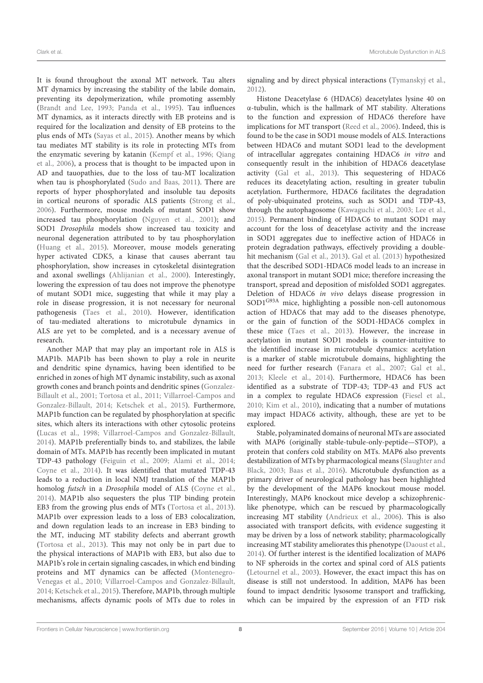It is found throughout the axonal MT network. Tau alters MT dynamics by increasing the stability of the labile domain, preventing its depolymerization, while promoting assembly (Brandt and Lee, 1993; Panda et al., 1995). Tau influences MT dynamics, as it interacts directly with EB proteins and is required for the localization and density of EB proteins to the plus ends of MTs (Sayas et al., 2015). Another means by which tau mediates MT stability is its role in protecting MTs from the enzymatic severing by katanin (Kempf et al., 1996; Qiang et al., 2006), a process that is thought to be impacted upon in AD and tauopathies, due to the loss of tau-MT localization when tau is phosphorylated (Sudo and Baas, 2011). There are reports of hyper phosphorylated and insoluble tau deposits in cortical neurons of sporadic ALS patients (Strong et al., 2006). Furthermore, mouse models of mutant SOD1 show increased tau phosphorylation (Nguyen et al., 2001); and SOD1 Drosophila models show increased tau toxicity and neuronal degeneration attributed to by tau phosphorylation (Huang et al., 2015). Moreover, mouse models generating hyper activated CDK5, a kinase that causes aberrant tau phosphorylation, show increases in cytoskeletal disintegration and axonal swellings (Ahlijanian et al., 2000). Interestingly, lowering the expression of tau does not improve the phenotype of mutant SOD1 mice, suggesting that while it may play a role in disease progression, it is not necessary for neuronal pathogenesis (Taes et al., 2010). However, identification of tau-mediated alterations to microtubule dynamics in ALS are yet to be completed, and is a necessary avenue of research.

Another MAP that may play an important role in ALS is MAP1b. MAP1b has been shown to play a role in neurite and dendritic spine dynamics, having been identified to be enriched in zones of high MT dynamic instability, such as axonal growth cones and branch points and dendritic spines (Gonzalez-Billault et al., 2001; Tortosa et al., 2011; Villarroel-Campos and Gonzalez-Billault, 2014; Ketschek et al., 2015). Furthermore, MAP1b function can be regulated by phosphorylation at specific sites, which alters its interactions with other cytosolic proteins (Lucas et al., 1998; Villarroel-Campos and Gonzalez-Billault, 2014). MAP1b preferentially binds to, and stabilizes, the labile domain of MTs. MAP1b has recently been implicated in mutant TDP-43 pathology (Feiguin et al., 2009; Alami et al., 2014; Coyne et al., 2014). It was identified that mutated TDP-43 leads to a reduction in local NMJ translation of the MAP1b homolog futsch in a Drosophila model of ALS (Coyne et al., 2014). MAP1b also sequesters the plus TIP binding protein EB3 from the growing plus ends of MTs (Tortosa et al., 2013). MAP1b over expression leads to a loss of EB3 colocalization, and down regulation leads to an increase in EB3 binding to the MT, inducing MT stability defects and aberrant growth (Tortosa et al., 2013). This may not only be in part due to the physical interactions of MAP1b with EB3, but also due to MAP1b's role in certain signaling cascades, in which end binding proteins and MT dynamics can be affected (Montenegro-Venegas et al., 2010; Villarroel-Campos and Gonzalez-Billault, 2014; Ketschek et al., 2015). Therefore, MAP1b, through multiple mechanisms, affects dynamic pools of MTs due to roles in

signaling and by direct physical interactions (Tymanskyj et al., 2012).

Histone Deacetylase 6 (HDAC6) deacetylates lysine 40 on α-tubulin, which is the hallmark of MT stability. Alterations to the function and expression of HDAC6 therefore have implications for MT transport (Reed et al., 2006). Indeed, this is found to be the case in SOD1 mouse models of ALS. Interactions between HDAC6 and mutant SOD1 lead to the development of intracellular aggregates containing HDAC6 in vitro and consequently result in the inhibition of HDAC6 deacetylase activity (Gal et al., 2013). This sequestering of HDAC6 reduces its deacetylating action, resulting in greater tubulin acetylation. Furthermore, HDAC6 facilitates the degradation of poly-ubiquinated proteins, such as SOD1 and TDP-43, through the autophagosome (Kawaguchi et al., 2003; Lee et al., 2015). Permanent binding of HDAC6 to mutant SOD1 may account for the loss of deacetylase activity and the increase in SOD1 aggregates due to ineffective action of HDAC6 in protein degradation pathways, effectively providing a doublehit mechanism (Gal et al., 2013). Gal et al. (2013) hypothesized that the described SOD1-HDAC6 model leads to an increase in axonal transport in mutant SOD1 mice; therefore increasing the transport, spread and deposition of misfolded SOD1 aggregates. Deletion of HDAC6 in vivo delays disease progression in SOD1G93A mice, highlighting a possible non-cell autonomous action of HDAC6 that may add to the diseases phenotype, or the gain of function of the SOD1-HDAC6 complex in these mice (Taes et al., 2013). However, the increase in acetylation in mutant SOD1 models is counter-intuitive to the identified increase in microtubule dynamics: acetylation is a marker of stable microtubule domains, highlighting the need for further research (Fanara et al., 2007; Gal et al., 2013; Kleele et al., 2014). Furthermore, HDAC6 has been identified as a substrate of TDP-43; TDP-43 and FUS act in a complex to regulate HDAC6 expression (Fiesel et al., 2010; Kim et al., 2010), indicating that a number of mutations may impact HDAC6 activity, although, these are yet to be explored.

Stable, polyaminated domains of neuronal MTs are associated with MAP6 (originally stable-tubule-only-peptide—STOP), a protein that confers cold stability on MTs. MAP6 also prevents destabilization of MTs by pharmacological means (Slaughter and Black, 2003; Baas et al., 2016). Microtubule dysfunction as a primary driver of neurological pathology has been highlighted by the development of the MAP6 knockout mouse model. Interestingly, MAP6 knockout mice develop a schizophreniclike phenotype, which can be rescued by pharmacologically increasing MT stability (Andrieux et al., 2006). This is also associated with transport deficits, with evidence suggesting it may be driven by a loss of network stability; pharmacologically increasing MT stability ameliorates this phenotype (Daoust et al., 2014). Of further interest is the identified localization of MAP6 to NF spheroids in the cortex and spinal cord of ALS patients (Letournel et al., 2003). However, the exact impact this has on disease is still not understood. In addition, MAP6 has been found to impact dendritic lysosome transport and trafficking, which can be impaired by the expression of an FTD risk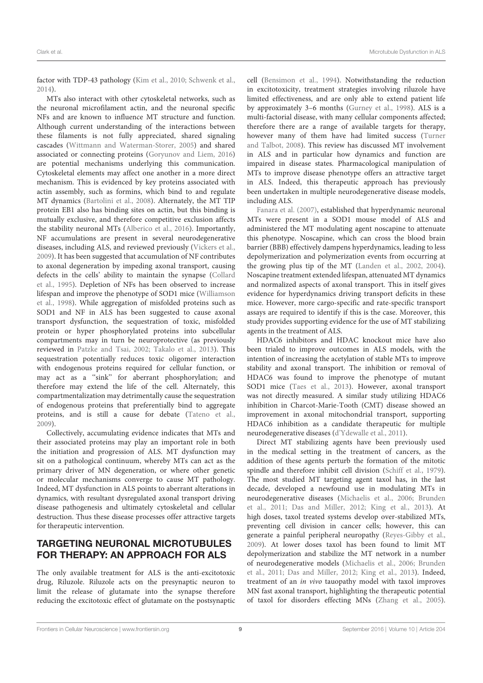factor with TDP-43 pathology (Kim et al., 2010; Schwenk et al., 2014).

MTs also interact with other cytoskeletal networks, such as the neuronal microfilament actin, and the neuronal specific NFs and are known to influence MT structure and function. Although current understanding of the interactions between these filaments is not fully appreciated, shared signaling cascades (Wittmann and Waterman-Storer, 2005) and shared associated or connecting proteins (Goryunov and Liem, 2016) are potential mechanisms underlying this communication. Cytoskeletal elements may affect one another in a more direct mechanism. This is evidenced by key proteins associated with actin assembly, such as formins, which bind to and regulate MT dynamics (Bartolini et al., 2008). Alternately, the MT TIP protein EB1 also has binding sites on actin, but this binding is mutually exclusive, and therefore competitive exclusion affects the stability neuronal MTs (Alberico et al., 2016). Importantly, NF accumulations are present in several neurodegenerative diseases, including ALS, and reviewed previously (Vickers et al., 2009). It has been suggested that accumulation of NF contributes to axonal degeneration by impeding axonal transport, causing defects in the cells' ability to maintain the synapse (Collard et al., 1995). Depletion of NFs has been observed to increase lifespan and improve the phenotype of SOD1 mice (Williamson et al., 1998). While aggregation of misfolded proteins such as SOD1 and NF in ALS has been suggested to cause axonal transport dysfunction, the sequestration of toxic, misfolded protein or hyper phosphorylated proteins into subcellular compartments may in turn be neuroprotective (as previously reviewed in Patzke and Tsai, 2002; Takalo et al., 2013). This sequestration potentially reduces toxic oligomer interaction with endogenous proteins required for cellular function, or may act as a "sink" for aberrant phosphorylation; and therefore may extend the life of the cell. Alternately, this compartmentalization may detrimentally cause the sequestration of endogenous proteins that preferentially bind to aggregate proteins, and is still a cause for debate (Tateno et al., 2009).

Collectively, accumulating evidence indicates that MTs and their associated proteins may play an important role in both the initiation and progression of ALS. MT dysfunction may sit on a pathological continuum, whereby MTs can act as the primary driver of MN degeneration, or where other genetic or molecular mechanisms converge to cause MT pathology. Indeed, MT dysfunction in ALS points to aberrant alterations in dynamics, with resultant dysregulated axonal transport driving disease pathogenesis and ultimately cytoskeletal and cellular destruction. Thus these disease processes offer attractive targets for therapeutic intervention.

# TARGETING NEURONAL MICROTUBULES FOR THERAPY: AN APPROACH FOR ALS

The only available treatment for ALS is the anti-excitotoxic drug, Riluzole. Riluzole acts on the presynaptic neuron to limit the release of glutamate into the synapse therefore reducing the excitotoxic effect of glutamate on the postsynaptic

cell (Bensimon et al., 1994). Notwithstanding the reduction in excitotoxicity, treatment strategies involving riluzole have limited effectiveness, and are only able to extend patient life by approximately 3–6 months (Gurney et al., 1998). ALS is a multi-factorial disease, with many cellular components affected; therefore there are a range of available targets for therapy, however many of them have had limited success (Turner and Talbot, 2008). This review has discussed MT involvement in ALS and in particular how dynamics and function are impaired in disease states. Pharmacological manipulation of MTs to improve disease phenotype offers an attractive target in ALS. Indeed, this therapeutic approach has previously been undertaken in multiple neurodegenerative disease models, including ALS.

Fanara et al. (2007), established that hyperdynamic neuronal MTs were present in a SOD1 mouse model of ALS and administered the MT modulating agent noscapine to attenuate this phenotype. Noscapine, which can cross the blood brain barrier (BBB) effectively dampens hyperdynamics, leading to less depolymerization and polymerization events from occurring at the growing plus tip of the MT (Landen et al., 2002, 2004). Noscapine treatment extended lifespan, attenuated MT dynamics and normalized aspects of axonal transport. This in itself gives evidence for hyperdynamics driving transport deficits in these mice. However, more cargo-specific and rate-specific transport assays are required to identify if this is the case. Moreover, this study provides supporting evidence for the use of MT stabilizing agents in the treatment of ALS.

HDAC6 inhibitors and HDAC knockout mice have also been trialed to improve outcomes in ALS models, with the intention of increasing the acetylation of stable MTs to improve stability and axonal transport. The inhibition or removal of HDAC6 was found to improve the phenotype of mutant SOD1 mice (Taes et al., 2013). However, axonal transport was not directly measured. A similar study utilizing HDAC6 inhibition in Charcot-Marie-Tooth (CMT) disease showed an improvement in axonal mitochondrial transport, supporting HDAC6 inhibition as a candidate therapeutic for multiple neurodegenerative diseases (d'Ydewalle et al., 2011).

Direct MT stabilizing agents have been previously used in the medical setting in the treatment of cancers, as the addition of these agents perturb the formation of the mitotic spindle and therefore inhibit cell division (Schiff et al., 1979). The most studied MT targeting agent taxol has, in the last decade, developed a newfound use in modulating MTs in neurodegenerative diseases (Michaelis et al., 2006; Brunden et al., 2011; Das and Miller, 2012; King et al., 2013). At high doses, taxol treated systems develop over-stabilized MTs, preventing cell division in cancer cells; however, this can generate a painful peripheral neuropathy (Reyes-Gibby et al., 2009). At lower doses taxol has been found to limit MT depolymerization and stabilize the MT network in a number of neurodegenerative models (Michaelis et al., 2006; Brunden et al., 2011; Das and Miller, 2012; King et al., 2013). Indeed, treatment of an in vivo tauopathy model with taxol improves MN fast axonal transport, highlighting the therapeutic potential of taxol for disorders effecting MNs (Zhang et al., 2005).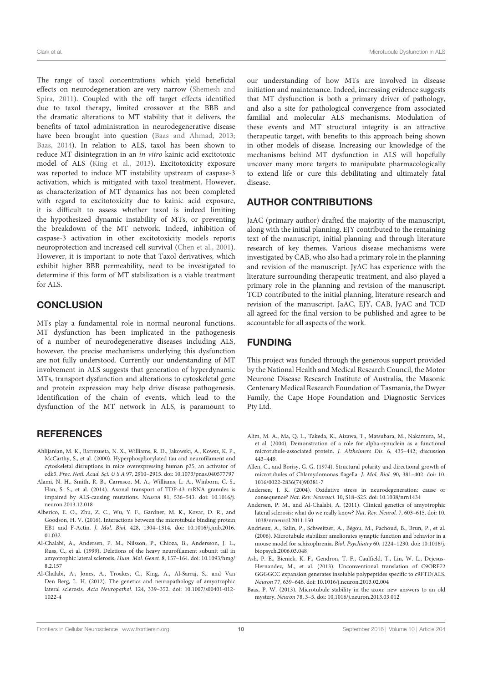The range of taxol concentrations which yield beneficial effects on neurodegeneration are very narrow (Shemesh and Spira, 2011). Coupled with the off target effects identified due to taxol therapy, limited crossover at the BBB and the dramatic alterations to MT stability that it delivers, the benefits of taxol administration in neurodegenerative disease have been brought into question (Baas and Ahmad, 2013; Baas, 2014). In relation to ALS, taxol has been shown to reduce MT disintegration in an in vitro kainic acid excitotoxic model of ALS (King et al., 2013). Excitotoxicity exposure was reported to induce MT instability upstream of caspase-3 activation, which is mitigated with taxol treatment. However, as characterization of MT dynamics has not been completed with regard to excitotoxicity due to kainic acid exposure, it is difficult to assess whether taxol is indeed limiting the hypothesized dynamic instability of MTs, or preventing the breakdown of the MT network. Indeed, inhibition of caspase-3 activation in other excitotoxicity models reports neuroprotection and increased cell survival (Chen et al., 2001). However, it is important to note that Taxol derivatives, which exhibit higher BBB permeability, need to be investigated to determine if this form of MT stabilization is a viable treatment for ALS.

### **CONCLUSION**

MTs play a fundamental role in normal neuronal functions. MT dysfunction has been implicated in the pathogenesis of a number of neurodegenerative diseases including ALS, however, the precise mechanisms underlying this dysfunction are not fully understood. Currently our understanding of MT involvement in ALS suggests that generation of hyperdynamic MTs, transport dysfunction and alterations to cytoskeletal gene and protein expression may help drive disease pathogenesis. Identification of the chain of events, which lead to the dysfunction of the MT network in ALS, is paramount to

### **REFERENCES**

- Ahlijanian, M. K., Barrezueta, N. X., Williams, R. D., Jakowski, A., Kowsz, K. P., McCarthy, S., et al. (2000). Hyperphosphorylated tau and neurofilament and cytoskeletal disruptions in mice overexpressing human p25, an activator of cdk5. Proc. Natl. Acad. Sci.USA 97, 2910–2915. doi: 10.1073/pnas.040577797
- Alami, N. H., Smith, R. B., Carrasco, M. A., Williams, L. A., Winborn, C. S., Han, S. S., et al. (2014). Axonal transport of TDP-43 mRNA granules is impaired by ALS-causing mutations. Neuron 81, 536–543. doi: 10.1016/j. neuron.2013.12.018
- Alberico, E. O., Zhu, Z. C., Wu, Y. F., Gardner, M. K., Kovar, D. R., and Goodson, H. V. (2016). Interactions between the microtubule binding protein EB1 and F-Actin. J. Mol. Biol. 428, 1304–1314. doi: 10.1016/j.jmb.2016. 01.032
- Al-Chalabi, A., Andersen, P. M., Nilsson, P., Chioza, B., Andersson, J. L., Russ, C., et al. (1999). Deletions of the heavy neurofilament subunit tail in amyotrophic lateral sclerosis. Hum. Mol. Genet. 8, 157–164. doi: 10.1093/hmg/ 8.2.157
- Al-Chalabi, A., Jones, A., Troakes, C., King, A., Al-Sarraj, S., and Van Den Berg, L. H. (2012). The genetics and neuropathology of amyotrophic lateral sclerosis. Acta Neuropathol. 124, 339–352. doi: 10.1007/s00401-012- 1022-4

our understanding of how MTs are involved in disease initiation and maintenance. Indeed, increasing evidence suggests that MT dysfunction is both a primary driver of pathology, and also a site for pathological convergence from associated familial and molecular ALS mechanisms. Modulation of these events and MT structural integrity is an attractive therapeutic target, with benefits to this approach being shown in other models of disease. Increasing our knowledge of the mechanisms behind MT dysfunction in ALS will hopefully uncover many more targets to manipulate pharmacologically to extend life or cure this debilitating and ultimately fatal disease.

### AUTHOR CONTRIBUTIONS

JaAC (primary author) drafted the majority of the manuscript, along with the initial planning. EJY contributed to the remaining text of the manuscript, initial planning and through literature research of key themes. Various disease mechanisms were investigated by CAB, who also had a primary role in the planning and revision of the manuscript. JyAC has experience with the literature surrounding therapeutic treatment, and also played a primary role in the planning and revision of the manuscript. TCD contributed to the initial planning, literature research and revision of the manuscript. JaAC, EJY, CAB, JyAC and TCD all agreed for the final version to be published and agree to be accountable for all aspects of the work.

### FUNDING

This project was funded through the generous support provided by the National Health and Medical Research Council, the Motor Neurone Disease Research Institute of Australia, the Masonic Centenary Medical Research Foundation of Tasmania, the Dwyer Family, the Cape Hope Foundation and Diagnostic Services Pty Ltd.

- Alim, M. A., Ma, Q. L., Takeda, K., Aizawa, T., Matsubara, M., Nakamura, M., et al. (2004). Demonstration of a role for alpha-synuclein as a functional microtubule-associated protein. J. Alzheimers Dis. 6, 435–442; discussion 443–449.
- Allen, C., and Borisy, G. G. (1974). Structural polarity and directional growth of microtubules of Chlamydomonas flagella. J. Mol. Biol. 90, 381–402. doi: 10. 1016/0022-2836(74)90381-7
- Andersen, J. K. (2004). Oxidative stress in neurodegeneration: cause or consequence? Nat. Rev. Neurosci. 10, S18–S25. doi: 10.1038/nrn1434
- Andersen, P. M., and Al-Chalabi, A. (2011). Clinical genetics of amyotrophic lateral sclerosis: what do we really know? Nat. Rev. Neurol. 7, 603–615. doi: 10. 1038/nrneurol.2011.150
- Andrieux, A., Salin, P., Schweitzer, A., Bégou, M., Pachoud, B., Brun, P., et al. (2006). Microtubule stabilizer ameliorates synaptic function and behavior in a mouse model for schizophrenia. Biol. Psychiatry 60, 1224–1230. doi: 10.1016/j. biopsych.2006.03.048
- Ash, P. E., Bieniek, K. F., Gendron, T. F., Caulfield, T., Lin, W. L., Dejesus-Hernandez, M., et al. (2013). Unconventional translation of C9ORF72 GGGGCC expansion generates insoluble polypeptides specific to c9FTD/ALS. Neuron 77, 639–646. doi: 10.1016/j.neuron.2013.02.004
- Baas, P. W. (2013). Microtubule stability in the axon: new answers to an old mystery. Neuron 78, 3–5. doi: 10.1016/j.neuron.2013.03.012

Frontiers in Cellular Neuroscience | www.frontiersin.org 10 September 2016 | Volume 10 | Article 204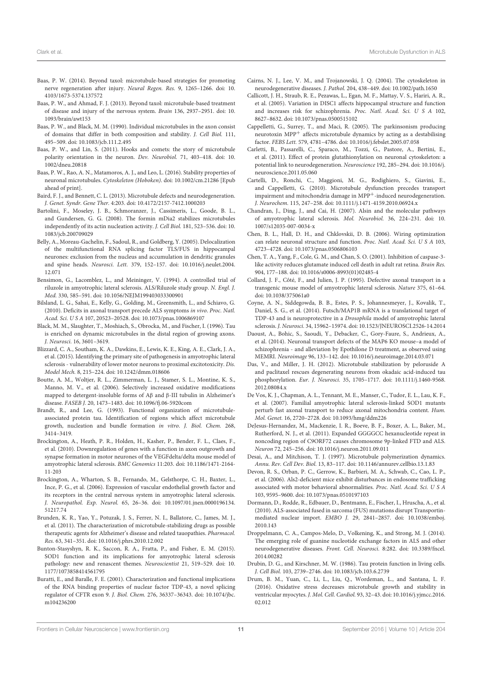- Baas, P. W. (2014). Beyond taxol: microtubule-based strategies for promoting nerve regeneration after injury. Neural Regen. Res. 9, 1265–1266. doi: 10. 4103/1673-5374.137572
- Baas, P. W., and Ahmad, F. J. (2013). Beyond taxol: microtubule-based treatment of disease and injury of the nervous system. Brain 136, 2937–2951. doi: 10. 1093/brain/awt153
- Baas, P. W., and Black, M. M. (1990). Individual microtubules in the axon consist of domains that differ in both composition and stability. J. Cell Biol. 111, 495–509. doi: 10.1083/jcb.111.2.495
- Baas, P. W., and Lin, S. (2011). Hooks and comets: the story of microtubule polarity orientation in the neuron. Dev. Neurobiol. 71, 403–418. doi: 10. 1002/dneu.20818
- Baas, P. W., Rao, A. N., Matamoros, A. J., and Leo, L. (2016). Stability properties of neuronal microtubules. Cytoskeleton (Hoboken). doi: 10.1002/cm.21286 [Epub ahead of print].
- Baird, F. J., and Bennett, C. L. (2013). Microtubule defects and neurodegeneration. J. Genet. Syndr. Gene Ther. 4:203. doi: 10.4172/2157-7412.1000203
- Bartolini, F., Moseley, J. B., Schmoranzer, J., Cassimeris, L., Goode, B. L., and Gundersen, G. G. (2008). The formin mDia2 stabilizes microtubules independently of its actin nucleation activity. J. Cell Biol. 181, 523–536. doi: 10. 1083/jcb.200709029
- Belly, A., Moreau-Gachelin, F., Sadoul, R., and Goldberg, Y. (2005). Delocalization of the multifunctional RNA splicing factor TLS/FUS in hippocampal neurones: exclusion from the nucleus and accumulation in dendritic granules and spine heads. Neurosci. Lett. 379, 152–157. doi: 10.1016/j.neulet.2004. 12.071
- Bensimon, G., Lacomblez, L., and Meininger, V. (1994). A controlled trial of riluzole in amyotrophic lateral sclerosis. ALS/Riluzole study group. N. Engl. J. Med. 330, 585–591. doi: 10.1056/NEJM199403033300901
- Bilsland, L. G., Sahai, E., Kelly, G., Golding, M., Greensmith, L., and Schiavo, G. (2010). Deficits in axonal transport precede ALS symptoms in vivo. Proc. Natl. Acad. Sci.USA 107, 20523–20528. doi: 10.1073/pnas.1006869107
- Black, M. M., Slaughter, T., Moshiach, S., Obrocka, M., and Fischer, I. (1996). Tau is enriched on dynamic microtubules in the distal region of growing axons. J. Neurosci. 16, 3601–3619.
- Blizzard, C. A., Southam, K. A., Dawkins, E., Lewis, K. E., King, A. E., Clark, J. A., et al. (2015). Identifying the primary site of pathogenesis in amyotrophic lateral sclerosis - vulnerability of lower motor neurons to proximal excitotoxicity. Dis. Model Mech. 8, 215–224. doi: 10.1242/dmm.018606
- Boutte, A. M., Woltjer, R. L., Zimmerman, L. J., Stamer, S. L., Montine, K. S., Manno, M. V., et al. (2006). Selectively increased oxidative modifications mapped to detergent-insoluble forms of Aβ and β-III tubulin in Alzheimer's disease. FASEB J. 20, 1473–1483. doi: 10.1096/fj.06-5920com
- Brandt, R., and Lee, G. (1993). Functional organization of microtubuleassociated protein tau. Identification of regions which affect microtubule growth, nucleation and bundle formation in vitro. J. Biol. Chem. 268, 3414–3419.
- Brockington, A., Heath, P. R., Holden, H., Kasher, P., Bender, F. L., Claes, F., et al. (2010). Downregulation of genes with a function in axon outgrowth and synapse formation in motor neurones of the VEGFdelta/delta mouse model of amyotrophic lateral sclerosis. BMC Genomics 11:203. doi: 10.1186/1471-2164- 11-203
- Brockington, A., Wharton, S. B., Fernando, M., Gelsthorpe, C. H., Baxter, L., Ince, P. G., et al. (2006). Expression of vascular endothelial growth factor and its receptors in the central nervous system in amyotrophic lateral sclerosis. J. Neuropathol. Exp. Neurol. 65, 26–36. doi: 10.1097/01.jnen.0000196134. 51217.74
- Brunden, K. R., Yao, Y., Potuzak, J. S., Ferrer, N. I., Ballatore, C., James, M. J., et al. (2011). The characterization of microtubule-stabilizing drugs as possible therapeutic agents for Alzheimer's disease and related tauopathies. Pharmacol. Res. 63, 341–351. doi: 10.1016/j.phrs.2010.12.002
- Bunton-Stasyshyn, R. K., Saccon, R. A., Fratta, P., and Fisher, E. M. (2015). SOD1 function and its implications for amyotrophic lateral sclerosis pathology: new and renascent themes. Neuroscientist 21, 519–529. doi: 10. 1177/1073858414561795
- Buratti, E., and Baralle, F. E. (2001). Characterization and functional implications of the RNA binding properties of nuclear factor TDP-43, a novel splicing regulator of CFTR exon 9. J. Biol. Chem. 276, 36337–36343. doi: 10.1074/jbc. m104236200

Cairns, N. J., Lee, V. M., and Trojanowski, J. Q. (2004). The cytoskeleton in neurodegenerative diseases. J. Pathol. 204, 438–449. doi: 10.1002/path.1650

- Callicott, J. H., Straub, R. E., Pezawas, L., Egan, M. F., Mattay, V. S., Hariri, A. R., et al. (2005). Variation in DISC1 affects hippocampal structure and function and increases risk for schizophrenia. Proc. Natl. Acad. Sci. U S A 102, 8627–8632. doi: 10.1073/pnas.0500515102
- Cappelletti, G., Surrey, T., and Maci, R. (2005). The parkinsonism producing neurotoxin MPP+ affects microtubule dynamics by acting as a destabilising factor. FEBS Lett. 579, 4781–4786. doi: 10.1016/j.febslet.2005.07.058
- Carletti, B., Passarelli, C., Sparaco, M., Tozzi, G., Pastore, A., Bertini, E., et al. (2011). Effect of protein glutathionylation on neuronal cytoskeleton: a potential link to neurodegeneration. Neuroscience 192, 285–294. doi: 10.1016/j. neuroscience.2011.05.060
- Cartelli, D., Ronchi, C., Maggioni, M. G., Rodighiero, S., Giavini, E., and Cappelletti, G. (2010). Microtubule dysfunction precedes transport impairment and mitochondria damage in MPP<sup>+</sup>-induced neurodegeneration. J. Neurochem. 115, 247–258. doi: 10.1111/j.1471-4159.2010.06924.x
- Chandran, J., Ding, J., and Cai, H. (2007). Alsin and the molecular pathways of amyotrophic lateral sclerosis. Mol. Neurobiol. 36, 224–231. doi: 10. 1007/s12035-007-0034-x
- Chen, B. L., Hall, D. H., and Chklovskii, D. B. (2006). Wiring optimization can relate neuronal structure and function. Proc. Natl. Acad. Sci. U S A 103, 4723–4728. doi: 10.1073/pnas.0506806103
- Chen, T. A., Yang, F., Cole, G. M., and Chan, S. O. (2001). Inhibition of caspase-3 like activity reduces glutamate induced cell death in adult rat retina. Brain Res. 904, 177–188. doi: 10.1016/s0006-8993(01)02485-4
- Collard, J. F., Côté, F., and Julien, J. P. (1995). Defective axonal transport in a transgenic mouse model of amyotrophic lateral sclerosis. Nature 375, 61–64. doi: 10.1038/375061a0
- Coyne, A. N., Siddegowda, B. B., Estes, P. S., Johannesmeyer, J., Kovalik, T., Daniel, S. G., et al. (2014). Futsch/MAP1B mRNA is a translational target of TDP-43 and is neuroprotective in a Drosophila model of amyotrophic lateral sclerosis. J. Neurosci. 34, 15962–15974. doi: 10.1523/JNEUROSCI.2526-14.2014
- Daoust, A., Bohic, S., Saoudi, Y., Debacker, C., Gory-Faure, S., Andrieux, A., et al. (2014). Neuronal transport defects of the MAP6 KO mouse–a model of schizophrenia - and alleviation by Epothilone D treatment, as observed using MEMRI. Neuroimage 96, 133–142. doi: 10.1016/j.neuroimage.2014.03.071
- Das, V., and Miller, J. H. (2012). Microtubule stabilization by peloruside A and paclitaxel rescues degenerating neurons from okadaic acid-induced tau phosphorylation. Eur. J. Neurosci. 35, 1705–1717. doi: 10.1111/j.1460-9568. 2012.08084.x
- De Vos, K. J., Chapman, A. L., Tennant, M. E., Manser, C., Tudor, E. L., Lau, K. F., et al. (2007). Familial amyotrophic lateral sclerosis-linked SOD1 mutants perturb fast axonal transport to reduce axonal mitochondria content. Hum. Mol. Genet. 16, 2720–2728. doi: 10.1093/hmg/ddm226
- DeJesus-Hernandez, M., Mackenzie, I. R., Boeve, B. F., Boxer, A. L., Baker, M., Rutherford, N. J., et al. (2011). Expanded GGGGCC hexanucleotide repeat in noncoding region of C9ORF72 causes chromosome 9p-linked FTD and ALS. Neuron 72, 245–256. doi: 10.1016/j.neuron.2011.09.011
- Desai, A., and Mitchison, T. J. (1997). Microtubule polymerization dynamics. Annu. Rev. Cell Dev. Biol. 13, 83–117. doi: 10.1146/annurev.cellbio.13.1.83
- Devon, R. S., Orban, P. C., Gerrow, K., Barbieri, M. A., Schwab, C., Cao, L. P., et al. (2006). Als2-deficient mice exhibit disturbances in endosome trafficking associated with motor behavioral abnormalities. Proc. Natl. Acad. Sci. U S A 103, 9595–9600. doi: 10.1073/pnas.0510197103
- Dormann, D., Rodde, R., Edbauer, D., Bentmann, E., Fischer, I., Hruscha, A., et al. (2010). ALS-associated fused in sarcoma (FUS) mutations disrupt Transportinmediated nuclear import. EMBO J. 29, 2841–2857. doi: 10.1038/emboj. 2010.143
- Droppelmann, C. A., Campos-Melo, D., Volkening, K., and Strong, M. J. (2014). The emerging role of guanine nucleotide exchange factors in ALS and other neurodegenerative diseases. Front. Cell. Neurosci. 8:282. doi: 10.3389/fncel. 2014.00282
- Drubin, D. G., and Kirschner, M. W. (1986). Tau protein function in living cells. J. Cell Biol. 103, 2739–2746. doi: 10.1083/jcb.103.6.2739
- Drum, B. M., Yuan, C., Li, L., Liu, Q., Wordeman, L., and Santana, L. F. (2016). Oxidative stress decreases microtubule growth and stability in ventricular myocytes. J. Mol. Cell. Cardiol. 93, 32–43. doi: 10.1016/j.yjmcc.2016. 02.012

Frontiers in Cellular Neuroscience | www.frontiersin.org 11 September 2016 | Volume 10 | Article 204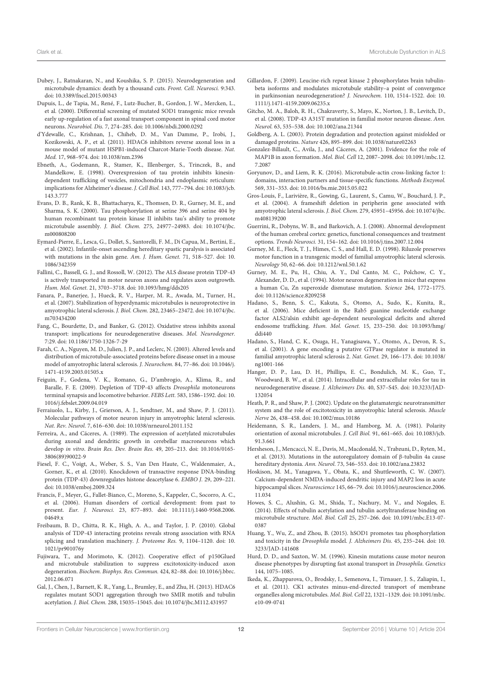- Dubey, J., Ratnakaran, N., and Koushika, S. P. (2015). Neurodegeneration and microtubule dynamics: death by a thousand cuts. Front. Cell. Neurosci. 9:343. doi: 10.3389/fncel.2015.00343
- Dupuis, L., de Tapia, M., René, F., Lutz-Bucher, B., Gordon, J. W., Mercken, L., et al. (2000). Differential screening of mutated SOD1 transgenic mice reveals early up-regulation of a fast axonal transport component in spinal cord motor neurons. Neurobiol. Dis. 7, 274–285. doi: 10.1006/nbdi.2000.0292
- d'Ydewalle, C., Krishnan, J., Chiheb, D. M., Van Damme, P., Irobi, J., Kozikowski, A. P., et al. (2011). HDAC6 inhibitors reverse axonal loss in a mouse model of mutant HSPB1-induced Charcot-Marie-Tooth disease. Nat. Med. 17, 968–974. doi: 10.1038/nm.2396
- Ebneth, A., Godemann, R., Stamer, K., Illenberger, S., Trinczek, B., and Mandelkow, E. (1998). Overexpression of tau protein inhibits kinesindependent trafficking of vesicles, mitochondria and endoplasmic reticulum: implications for Alzheimer's disease. J. Cell Biol. 143, 777–794. doi: 10.1083/jcb. 143.3.777
- Evans, D. B., Rank, K. B., Bhattacharya, K., Thomsen, D. R., Gurney, M. E., and Sharma, S. K. (2000). Tau phosphorylation at serine 396 and serine 404 by human recombinant tau protein kinase II inhibits tau's ability to promote microtubule assembly. J. Biol. Chem. 275, 24977–24983. doi: 10.1074/jbc. m000808200
- Eymard-Pierre, E., Lesca, G., Dollet, S., Santorelli, F. M., Di Capua, M., Bertini, E., et al. (2002). Infantile-onset ascending hereditary spastic paralysis is associated with mutations in the alsin gene. Am. J. Hum. Genet. 71, 518–527. doi: 10. 1086/342359
- Fallini, C., Bassell, G. J., and Rossoll, W. (2012). The ALS disease protein TDP-43 is actively transported in motor neuron axons and regulates axon outgrowth. Hum. Mol. Genet. 21, 3703–3718. doi: 10.1093/hmg/dds205
- Fanara, P., Banerjee, J., Hueck, R. V., Harper, M. R., Awada, M., Turner, H., et al. (2007). Stabilization of hyperdynamic microtubules is neuroprotective in amyotrophic lateral sclerosis. J. Biol. Chem. 282, 23465–23472. doi: 10.1074/jbc. m703434200
- Fang, C., Bourdette, D., and Banker, G. (2012). Oxidative stress inhibits axonal transport: implications for neurodegenerative diseases. Mol. Neurodegener. 7:29. doi: 10.1186/1750-1326-7-29
- Farah, C. A., Nguyen, M. D., Julien, J. P., and Leclerc, N. (2003). Altered levels and distribution of microtubule-associated proteins before disease onset in a mouse model of amyotrophic lateral sclerosis. J. Neurochem. 84, 77–86. doi: 10.1046/j. 1471-4159.2003.01505.x
- Feiguin, F., Godena, V. K., Romano, G., D'ambrogio, A., Klima, R., and Baralle, F. E. (2009). Depletion of TDP-43 affects Drosophila motoneurons terminal synapsis and locomotive behavior. FEBS Lett. 583, 1586–1592. doi: 10. 1016/j.febslet.2009.04.019
- Ferraiuolo, L., Kirby, J., Grierson, A. J., Sendtner, M., and Shaw, P. J. (2011). Molecular pathways of motor neuron injury in amyotrophic lateral sclerosis. Nat. Rev. Neurol. 7, 616–630. doi: 10.1038/nrneurol.2011.152
- Ferreira, A., and Cáceres, A. (1989). The expression of acetylated microtubules during axonal and dendritic growth in cerebellar macroneurons which develop in vitro. Brain Res. Dev. Brain Res. 49, 205–213. doi: 10.1016/0165- 3806(89)90022-9
- Fiesel, F. C., Voigt, A., Weber, S. S., Van Den Haute, C., Waldenmaier, A., Gorner, K., et al. (2010). Knockdown of transactive response DNA-binding protein (TDP-43) downregulates histone deacetylase 6. EMBO J. 29, 209–221. doi: 10.1038/emboj.2009.324
- Francis, F., Meyer, G., Fallet-Bianco, C., Moreno, S., Kappeler, C., Socorro, A. C., et al. (2006). Human disorders of cortical development: from past to present. Eur. J. Neurosci. 23, 877–893. doi: 10.1111/j.1460-9568.2006. 04649.x
- Freibaum, B. D., Chitta, R. K., High, A. A., and Taylor, J. P. (2010). Global analysis of TDP-43 interacting proteins reveals strong association with RNA splicing and translation machinery. J. Proteome Res. 9, 1104–1120. doi: 10. 1021/pr901076y
- Fujiwara, T., and Morimoto, K. (2012). Cooperative effect of p150Glued and microtubule stabilization to suppress excitotoxicity-induced axon degeneration. Biochem. Biophys. Res. Commun. 424, 82–88. doi: 10.1016/j.bbrc. 2012.06.071
- Gal, J., Chen, J., Barnett, K. R., Yang, L., Brumley, E., and Zhu, H. (2013). HDAC6 regulates mutant SOD1 aggregation through two SMIR motifs and tubulin acetylation. J. Biol. Chem. 288, 15035–15045. doi: 10.1074/jbc.M112.431957
- Gillardon, F. (2009). Leucine-rich repeat kinase 2 phosphorylates brain tubulinbeta isoforms and modulates microtubule stability–a point of convergence in parkinsonian neurodegeneration? J. Neurochem. 110, 1514–1522. doi: 10. 1111/j.1471-4159.2009.06235.x
- Gitcho, M. A., Baloh, R. H., Chakraverty, S., Mayo, K., Norton, J. B., Levitch, D., et al. (2008). TDP-43 A315T mutation in familial motor neuron disease. Ann. Neurol. 63, 535–538. doi: 10.1002/ana.21344
- Goldberg, A. L. (2003). Protein degradation and protection against misfolded or damaged proteins. Nature 426, 895–899. doi: 10.1038/nature02263
- Gonzalez-Billault, C., Avila, J., and Cáceres, A. (2001). Evidence for the role of MAP1B in axon formation. Mol. Biol. Cell 12, 2087–2098. doi: 10.1091/mbc.12. 7.2087
- Goryunov, D., and Liem, R. K. (2016). Microtubule-actin cross-linking factor 1: domains, interaction partners and tissue-specific functions. Methods Enzymol. 569, 331–353. doi: 10.1016/bs.mie.2015.05.022
- Gros-Louis, F., Larivière, R., Gowing, G., Laurent, S., Camu, W., Bouchard, J. P., et al. (2004). A frameshift deletion in peripherin gene associated with amyotrophic lateral sclerosis. J. Biol. Chem. 279, 45951–45956. doi: 10.1074/jbc. m408139200
- Guerrini, R., Dobyns, W. B., and Barkovich, A. J. (2008). Abnormal development of the human cerebral cortex: genetics, functional consequences and treatment options. Trends Neurosci. 31, 154–162. doi: 10.1016/j.tins.2007.12.004
- Gurney, M. E., Fleck, T. J., Himes, C. S., and Hall, E. D. (1998). Riluzole preserves motor function in a transgenic model of familial amyotrophic lateral sclerosis. Neurology 50, 62–66. doi: 10.1212/wnl.50.1.62
- Gurney, M. E., Pu, H., Chiu, A. Y., Dal Canto, M. C., Polchow, C. Y., Alexander, D. D., et al. (1994). Motor neuron degeneration in mice that express a human Cu, Zn superoxide dismutase mutation. Science 264, 1772–1775. doi: 10.1126/science.8209258
- Hadano, S., Benn, S. C., Kakuta, S., Otomo, A., Sudo, K., Kunita, R., et al. (2006). Mice deficient in the Rab5 guanine nucleotide exchange factor ALS2/alsin exhibit age-dependent neurological deficits and altered endosome trafficking. Hum. Mol. Genet. 15, 233–250. doi: 10.1093/hmg/ ddi440
- Hadano, S., Hand, C. K., Osuga, H., Yanagisawa, Y., Otomo, A., Devon, R. S., et al. (2001). A gene encoding a putative GTPase regulator is mutated in familial amyotrophic lateral sclerosis 2. Nat. Genet. 29, 166–173. doi: 10.1038/ ng1001-166
- Hanger, D. P., Lau, D. H., Phillips, E. C., Bondulich, M. K., Guo, T., Woodward, B. W., et al. (2014). Intracellular and extracellular roles for tau in neurodegenerative disease. J. Alzheimers Dis. 40, S37–S45. doi: 10.3233/JAD-132054
- Heath, P. R., and Shaw, P. J. (2002). Update on the glutamatergic neurotransmitter system and the role of excitotoxicity in amyotrophic lateral sclerosis. Muscle Nerve 26, 438–458. doi: 10.1002/mus.10186
- Heidemann, S. R., Landers, J. M., and Hamborg, M. A. (1981). Polarity orientation of axonal microtubules. J. Cell Biol. 91, 661–665. doi: 10.1083/jcb. 91.3.661
- Hersheson, J., Mencacci, N. E., Davis, M., Macdonald, N., Trabzuni, D., Ryten, M., et al. (2013). Mutations in the autoregulatory domain of β-tubulin 4a cause hereditary dystonia. Ann. Neurol. 73, 546–553. doi: 10.1002/ana.23832
- Hoskison, M. M., Yanagawa, Y., Obata, K., and Shuttleworth, C. W. (2007). Calcium-dependent NMDA-induced dendritic injury and MAP2 loss in acute hippocampal slices. Neuroscience 145, 66–79. doi: 10.1016/j.neuroscience.2006. 11.034
- Howes, S. C., Alushin, G. M., Shida, T., Nachury, M. V., and Nogales, E. (2014). Effects of tubulin acetylation and tubulin acetyltransferase binding on microtubule structure. Mol. Biol. Cell 25, 257–266. doi: 10.1091/mbc.E13-07- 0387
- Huang, Y., Wu, Z., and Zhou, B. (2015). hSOD1 promotes tau phosphorylation and toxicity in the Drosophila model. J. Alzheimers Dis. 45, 235–244. doi: 10. 3233/JAD-141608
- Hurd, D. D., and Saxton, W. M. (1996). Kinesin mutations cause motor neuron disease phenotypes by disrupting fast axonal transport in Drosophila. Genetics 144, 1075–1085.
- Ikeda, K., Zhapparova, O., Brodsky, I., Semenova, I., Tirnauer, J. S., Zaliapin, I., et al. (2011). CK1 activates minus-end-directed transport of membrane organelles along microtubules. Mol. Biol. Cell 22, 1321–1329. doi: 10.1091/mbc. e10-09-0741

Frontiers in Cellular Neuroscience | www.frontiersin.org 12 12 September 2016 | Volume 10 | Article 204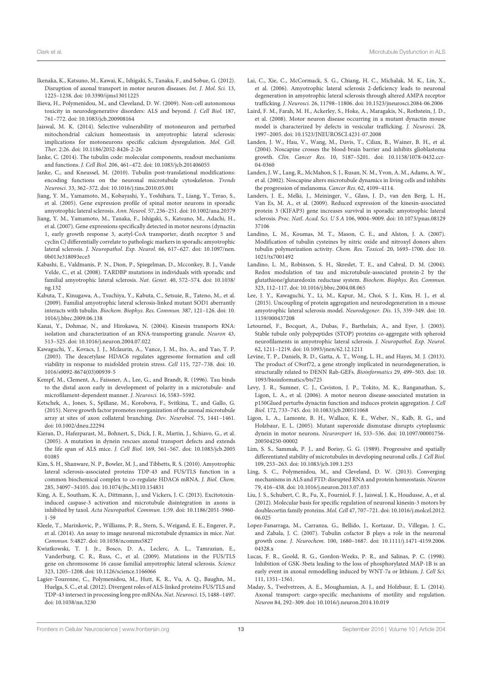- Ikenaka, K., Katsuno, M., Kawai, K., Ishigaki, S., Tanaka, F., and Sobue, G. (2012). Disruption of axonal transport in motor neuron diseases. Int. J. Mol. Sci. 13, 1225–1238. doi: 10.3390/ijms13011225
- Ilieva, H., Polymenidou, M., and Cleveland, D. W. (2009). Non-cell autonomous toxicity in neurodegenerative disorders: ALS and beyond. J. Cell Biol. 187, 761–772. doi: 10.1083/jcb.200908164
- Jaiswal, M. K. (2014). Selective vulnerability of motoneuron and perturbed mitochondrial calcium homeostasis in amyotrophic lateral sclerosis: implications for motoneurons specific calcium dysregulation. Mol. Cell. Ther. 2:26. doi: 10.1186/2052-8426-2-26
- Janke, C. (2014). The tubulin code: molecular components, readout mechanisms and functions. J. Cell Biol. 206, 461–472. doi: 10.1083/jcb.201406055
- Janke, C., and Kneussel, M. (2010). Tubulin post-translational modifications: encoding functions on the neuronal microtubule cytoskeleton. Trends Neurosci. 33, 362–372. doi: 10.1016/j.tins.2010.05.001
- Jiang, Y. M., Yamamoto, M., Kobayashi, Y., Yoshihara, T., Liang, Y., Terao, S., et al. (2005). Gene expression profile of spinal motor neurons in sporadic amyotrophic lateral sclerosis. Ann. Neurol. 57, 236–251. doi: 10.1002/ana.20379
- Jiang, Y. M., Yamamoto, M., Tanaka, F., Ishigaki, S., Katsuno, M., Adachi, H., et al. (2007). Gene expressions specifically detected in motor neurons (dynactin 1, early growth response 3, acetyl-CoA transporter, death receptor 5 and cyclin C) differentially correlate to pathologic markers in sporadic amyotrophic lateral sclerosis. J. Neuropathol. Exp. Neurol. 66, 617–627. doi: 10.1097/nen. 0b013e318093ece3
- Kabashi, E., Valdmanis, P. N., Dion, P., Spiegelman, D., Mcconkey, B. J., Vande Velde, C., et al. (2008). TARDBP mutations in individuals with sporadic and familial amyotrophic lateral sclerosis. Nat. Genet. 40, 572–574. doi: 10.1038/ ng.132
- Kabuta, T., Kinugawa, A., Tsuchiya, Y., Kabuta, C., Setsuie, R., Tateno, M., et al. (2009). Familial amyotrophic lateral sclerosis-linked mutant SOD1 aberrantly interacts with tubulin. Biochem. Biophys. Res. Commun. 387, 121–126. doi: 10. 1016/j.bbrc.2009.06.138
- Kanai, Y., Dohmae, N., and Hirokawa, N. (2004). Kinesin transports RNA: isolation and characterization of an RNA-transporting granule. Neuron 43, 513–525. doi: 10.1016/j.neuron.2004.07.022
- Kawaguchi, Y., Kovacs, J. J., Mclaurin, A., Vance, J. M., Ito, A., and Yao, T. P. (2003). The deacetylase HDAC6 regulates aggresome formation and cell viability in response to misfolded protein stress. Cell 115, 727–738. doi: 10. 1016/s0092-8674(03)00939-5
- Kempf, M., Clement, A., Faissner, A., Lee, G., and Brandt, R. (1996). Tau binds to the distal axon early in development of polarity in a microtubule- and microfilament-dependent manner. J. Neurosci. 16, 5583–5592.
- Ketschek, A., Jones, S., Spillane, M., Korobova, F., Svitkina, T., and Gallo, G. (2015). Nerve growth factor promotes reorganization of the axonal microtubule array at sites of axon collateral branching. Dev. Neurobiol. 75, 1441–1461. doi: 10.1002/dneu.22294
- Kieran, D., Hafezparast, M., Bohnert, S., Dick, J. R., Martin, J., Schiavo, G., et al. (2005). A mutation in dynein rescues axonal transport defects and extends the life span of ALS mice. J. Cell Biol. 169, 561–567. doi: 10.1083/jcb.2005 01085
- Kim, S. H., Shanware, N. P., Bowler, M. J., and Tibbetts, R. S. (2010). Amyotrophic lateral sclerosis-associated proteins TDP-43 and FUS/TLS function in a common biochemical complex to co-regulate HDAC6 mRNA. J. Biol. Chem. 285, 34097–34105. doi: 10.1074/jbc.M110.154831
- King, A. E., Southam, K. A., Dittmann, J., and Vickers, J. C. (2013). Excitotoxininduced caspase-3 activation and microtubule disintegration in axons is inhibited by taxol. Acta Neuropathol. Commun. 1:59. doi: 10.1186/2051-5960- 1-59
- Kleele, T., Marinkovic, P., Williams, P. R., Stern, S., Weigand, E. E., Engerer, P., et al. (2014). An assay to image neuronal microtubule dynamics in mice. Nat. Commun. 5:4827. doi: 10.1038/ncomms5827
- Kwiatkowski, T. J. Jr., Bosco, D. A., Leclerc, A. L., Tamrazian, E., Vanderburg, C. R., Russ, C., et al. (2009). Mutations in the FUS/TLS gene on chromosome 16 cause familial amyotrophic lateral sclerosis. Science 323, 1205–1208. doi: 10.1126/science.1166066
- Lagier-Tourenne, C., Polymenidou, M., Hutt, K. R., Vu, A. Q., Baughn, M., Huelga, S. C., et al. (2012). Divergent roles of ALS-linked proteins FUS/TLS and TDP-43 intersect in processing long pre-mRNAs. Nat. Neurosci. 15, 1488–1497. doi: 10.1038/nn.3230
- Lai, C., Xie, C., McCormack, S. G., Chiang, H. C., Michalak, M. K., Lin, X., et al. (2006). Amyotrophic lateral sclerosis 2-deficiency leads to neuronal degeneration in amyotrophic lateral sclerosis through altered AMPA receptor trafficking. J. Neurosci. 26, 11798–11806. doi: 10.1523/jneurosci.2084-06.2006
- Laird, F. M., Farah, M. H., Ackerley, S., Hoke, A., Maragakis, N., Rothstein, J. D., et al. (2008). Motor neuron disease occurring in a mutant dynactin mouse model is characterized by defects in vesicular trafficking. J. Neurosci. 28, 1997–2005. doi: 10.1523/JNEUROSCI.4231-07.2008
- Landen, J. W., Hau, V., Wang, M., Davis, T., Ciliax, B., Wainer, B. H., et al. (2004). Noscapine crosses the blood-brain barrier and inhibits glioblastoma growth. Clin. Cancer Res. 10, 5187–5201. doi: 10.1158/1078-0432.ccr-04-0360
- Landen, J. W., Lang, R., McMahon, S. J., Rusan, N. M., Yvon, A. M., Adams, A. W., et al. (2002). Noscapine alters microtubule dynamics in living cells and inhibits the progression of melanoma. Cancer Res. 62, 4109–4114.
- Landers, J. E., Melki, J., Meininger, V., Glass, J. D., van den Berg, L. H., Van Es, M. A., et al. (2009). Reduced expression of the kinesin-associated protein 3 (KIFAP3) gene increases survival in sporadic amyotrophic lateral sclerosis. Proc. Natl. Acad. Sci. U S A 106, 9004–9009. doi: 10.1073/pnas.08129 37106
- Landino, L. M., Koumas, M. T., Mason, C. E., and Alston, J. A. (2007). Modification of tubulin cysteines by nitric oxide and nitroxyl donors alters tubulin polymerization activity. Chem. Res. Toxicol. 20, 1693–1700. doi: 10. 1021/tx7001492
- Landino, L. M., Robinson, S. H., Skreslet, T. E., and Cabral, D. M. (2004). Redox modulation of tau and microtubule-associated protein-2 by the glutathione/glutaredoxin reductase system. Biochem. Biophys. Res. Commun. 323, 112–117. doi: 10.1016/j.bbrc.2004.08.065
- Lee, J. Y., Kawaguchi, Y., Li, M., Kapur, M., Choi, S. J., Kim, H. J., et al. (2015). Uncoupling of protein aggregation and neurodegeneration in a mouse amyotrophic lateral sclerosis model. Neurodegener. Dis. 15, 339–349. doi: 10. 1159/000437208
- Letournel, F., Bocquet, A., Dubas, F., Barthelaix, A., and Eyer, J. (2003). Stable tubule only polypeptides (STOP) proteins co-aggregate with spheroid neurofilaments in amyotrophic lateral sclerosis. J. Neuropathol. Exp. Neurol. 62, 1211–1219. doi: 10.1093/jnen/62.12.1211
- Levine, T. P., Daniels, R. D., Gatta, A. T., Wong, L. H., and Hayes, M. J. (2013). The product of C9orf72, a gene strongly implicated in neurodegeneration, is structurally related to DENN Rab-GEFs. Bioinformatics 29, 499–503. doi: 10. 1093/bioinformatics/bts725
- Levy, J. R., Sumner, C. J., Caviston, J. P., Tokito, M. K., Ranganathan, S., Ligon, L. A., et al. (2006). A motor neuron disease-associated mutation in p150Glued perturbs dynactin function and induces protein aggregation. J. Cell Biol. 172, 733–745. doi: 10.1083/jcb.200511068
- Ligon, L. A., Lamonte, B. H., Wallace, K. E., Weber, N., Kalb, R. G., and Holzbaur, E. L. (2005). Mutant superoxide dismutase disrupts cytoplasmic dynein in motor neurons. Neuroreport 16, 533–536. doi: 10.1097/00001756- 200504250-00002
- Lim, S. S., Sammak, P. J., and Borisy, G. G. (1989). Progressive and spatially differentiated stability of microtubules in developing neuronal cells. J. Cell Biol. 109, 253–263. doi: 10.1083/jcb.109.1.253
- Ling, S. C., Polymenidou, M., and Cleveland, D. W. (2013). Converging mechanisms in ALS and FTD: disrupted RNA and protein homeostasis. Neuron 79, 416–438. doi: 10.1016/j.neuron.2013.07.033
- Liu, J. S., Schubert, C. R., Fu, X., Fourniol, F. J., Jaiswal, J. K., Houdusse, A., et al. (2012). Molecular basis for specific regulation of neuronal kinesin-3 motors by doublecortin family proteins. Mol. Cell 47, 707–721. doi: 10.1016/j.molcel.2012. 06.025
- Lopez-Fanarraga, M., Carranza, G., Bellido, J., Kortazar, D., Villegas, J. C., and Zabala, J. C. (2007). Tubulin cofactor B plays a role in the neuronal growth cone. J. Neurochem. 100, 1680–1687. doi: 10.1111/j.1471-4159.2006. 04328.x
- Lucas, F. R., Goold, R. G., Gordon-Weeks, P. R., and Salinas, P. C. (1998). Inhibition of GSK-3beta leading to the loss of phosphorylated MAP-1B is an early event in axonal remodelling induced by WNT-7a or lithium. J. Cell Sci. 111, 1351–1361.
- Maday, S., Twelvetrees, A. E., Moughamian, A. J., and Holzbaur, E. L. (2014). Axonal transport: cargo-specific mechanisms of motility and regulation. Neuron 84, 292–309. doi: 10.1016/j.neuron.2014.10.019

Frontiers in Cellular Neuroscience | www.frontiersin.org 13 13 September 2016 | Volume 10 | Article 204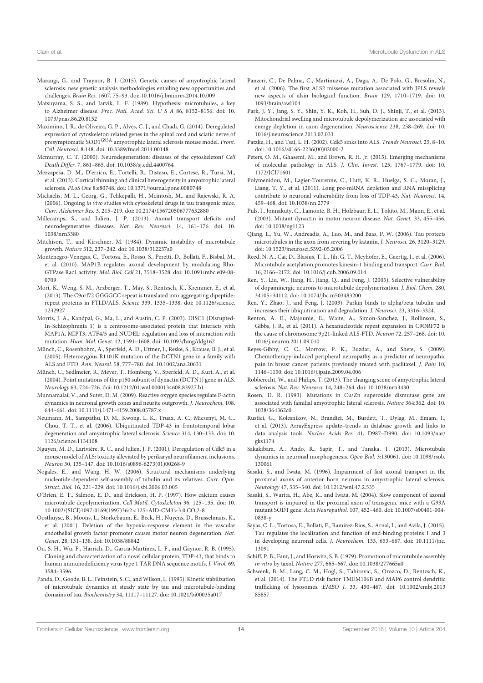- Marangi, G., and Traynor, B. J. (2015). Genetic causes of amyotrophic lateral sclerosis: new genetic analysis methodologies entailing new opportunities and challenges. Brain Res. 1607, 75–93. doi: 10.1016/j.brainres.2014.10.009
- Matsuyama, S. S., and Jarvik, L. F. (1989). Hypothesis: microtubules, a key to Alzheimer disease. Proc. Natl. Acad. Sci. U S A 86, 8152–8156. doi: 10. 1073/pnas.86.20.8152
- Maximino, J. R., de Oliveira, G. P., Alves, C. J., and Chadi, G. (2014). Deregulated expression of cytoskeleton related genes in the spinal cord and sciatic nerve of presymptomatic SOD1<sup>G93A</sup> amyotrophic lateral sclerosis mouse model. Front. Cell. Neurosci. 8:148. doi: 10.3389/fncel.2014.00148
- Mcmurray, C. T. (2000). Neurodegeneration: diseases of the cytoskeleton? Cell Death Differ. 7, 861–865. doi: 10.1038/sj.cdd.4400764
- Mezzapesa, D. M., D'errico, E., Tortelli, R., Distaso, E., Cortese, R., Tursi, M., et al. (2013). Cortical thinning and clinical heterogeneity in amyotrophic lateral sclerosis. PLoS One 8:e80748. doi: 10.1371/journal.pone.0080748
- Michaelis, M. L., Georg, G., Telikepalli, H., Mcintosh, M., and Rajewski, R. A. (2006). Ongoing in vivo studies with cytoskeletal drugs in tau transgenic mice. Curr. Alzheimer Res. 3, 215–219. doi: 10.2174/156720506777632880
- Millecamps, S., and Julien, J. P. (2013). Axonal transport deficits and neurodegenerative diseases. Nat. Rev. Neurosci. 14, 161–176. doi: 10. 1038/nrn3380
- Mitchison, T., and Kirschner, M. (1984). Dynamic instability of microtubule growth. Nature 312, 237–242. doi: 10.1038/312237a0
- Montenegro-Venegas, C., Tortosa, E., Rosso, S., Peretti, D., Bollati, F., Bisbal, M., et al. (2010). MAP1B regulates axonal development by modulating Rho-GTPase Rac1 activity. Mol. Biol. Cell 21, 3518–3528. doi: 10.1091/mbc.e09-08- 0709
- Mori, K., Weng, S. M., Arzberger, T., May, S., Rentzsch, K., Kremmer, E., et al. (2013). The C9orf72 GGGGCC repeat is translated into aggregating dipeptiderepeat proteins in FTLD/ALS. Science 339, 1335–1338. doi: 10.1126/science. 1232927
- Morris, J. A., Kandpal, G., Ma, L., and Austin, C. P. (2003). DISC1 (Disrupted-In-Schizophrenia 1) is a centrosome-associated protein that interacts with MAP1A, MIPT3, ATF4/5 and NUDEL: regulation and loss of interaction with mutation. Hum. Mol. Genet. 12, 1591–1608. doi: 10.1093/hmg/ddg162
- Münch, C., Rosenbohm, A., Sperfeld, A. D., Uttner, I., Reske, S., Krause, B. J., et al. (2005). Heterozygous R1101K mutation of the DCTN1 gene in a family with ALS and FTD. Ann. Neurol. 58, 777–780. doi: 10.1002/ana.20631
- Münch, C., Sedlmeier, R., Meyer, T., Homberg, V., Sperfeld, A. D., Kurt, A., et al. (2004). Point mutations of the p150 subunit of dynactin (DCTN1) gene in ALS. Neurology 63, 724–726. doi: 10.1212/01.wnl.0000134608.83927.b1
- Munnamalai, V., and Suter, D. M. (2009). Reactive oxygen species regulate F-actin dynamics in neuronal growth cones and neurite outgrowth. J. Neurochem. 108, 644–661. doi: 10.1111/j.1471-4159.2008.05787.x
- Neumann, M., Sampathu, D. M., Kwong, L. K., Truax, A. C., Micsenyi, M. C., Chou, T. T., et al. (2006). Ubiquitinated TDP-43 in frontotemporal lobar degeneration and amyotrophic lateral sclerosis. Science 314, 130–133. doi: 10. 1126/science.1134108
- Nguyen, M. D., Larivière, R. C., and Julien, J. P. (2001). Deregulation of Cdk5 in a mouse model of ALS: toxicity alleviated by perikaryal neurofilament inclusions. Neuron 30, 135–147. doi: 10.1016/s0896-6273(01)00268-9
- Nogales, E., and Wang, H. W. (2006). Structural mechanisms underlying nucleotide-dependent self-assembly of tubulin and its relatives. Curr. Opin. Struct. Biol. 16, 221–229. doi: 10.1016/j.sbi.2006.03.005
- O'Brien, E. T., Salmon, E. D., and Erickson, H. P. (1997). How calcium causes microtubule depolymerization. Cell Motil. Cytoskeleton 36, 125–135. doi: 10. 10.1002/(SICI)1097-0169(1997)36:2<125::AID-CM3>3.0.CO;2-8
- Oosthuyse, B., Moons, L., Storkebaum, E., Beck, H., Nuyens, D., Brusselmans, K., et al. (2001). Deletion of the hypoxia-response element in the vascular endothelial growth factor promoter causes motor neuron degeneration. Nat. Genet. 28, 131–138. doi: 10.1038/88842
- Ou, S. H., Wu, F., Harrich, D., Garcia-Martinez, L. F., and Gaynor, R. B. (1995). Cloning and characterization of a novel cellular protein, TDP-43, that binds to human immunodeficiency virus type 1 TAR DNA sequence motifs. J. Virol. 69, 3584–3596.
- Panda, D., Goode, B. L., Feinstein, S. C., and Wilson, L. (1995). Kinetic stabilization of microtubule dynamics at steady state by tau and microtubule-binding domains of tau. Biochemistry 34, 11117–11127. doi: 10.1021/bi00035a017
- Panzeri, C., De Palma, C., Martinuzzi, A., Daga, A., De Polo, G., Bresolin, N., et al. (2006). The first ALS2 missense mutation associated with JPLS reveals new aspects of alsin biological function. Brain 129, 1710–1719. doi: 10. 1093/brain/awl104
- Park, J. Y., Jang, S. Y., Shin, Y. K., Koh, H., Suh, D. J., Shinji, T., et al. (2013). Mitochondrial swelling and microtubule depolymerization are associated with energy depletion in axon degeneration. Neuroscience 238, 258–269. doi: 10. 1016/j.neuroscience.2013.02.033
- Patzke, H., and Tsai, L. H. (2002). Cdk5 sinks into ALS. Trends Neurosci. 25, 8–10. doi: 10.1016/s0166-2236(00)02000-2
- Peters, O. M., Ghasemi, M., and Brown, R. H. Jr. (2015). Emerging mechanisms of molecular pathology in ALS. J. Clin. Invest. 125, 1767–1779. doi: 10. 1172/JCI71601
- Polymenidou, M., Lagier-Tourenne, C., Hutt, K. R., Huelga, S. C., Moran, J., Liang, T. Y., et al. (2011). Long pre-mRNA depletion and RNA missplicing contribute to neuronal vulnerability from loss of TDP-43. Nat. Neurosci. 14, 459–468. doi: 10.1038/nn.2779
- Puls, I., Jonnakuty, C., Lamonte, B. H., Holzbaur, E. L., Tokito, M., Mann, E., et al. (2003). Mutant dynactin in motor neuron disease. Nat. Genet. 33, 455–456. doi: 10.1038/ng1123
- Qiang, L., Yu, W., Andreadis, A., Luo, M., and Baas, P. W. (2006). Tau protects microtubules in the axon from severing by katanin. J. Neurosci. 26, 3120–3129. doi: 10.1523/jneurosci.5392-05.2006
- Reed, N. A., Cai, D., Blasius, T. L., Jih, G. T., Meyhofer, E., Gaertig, J., et al. (2006). Microtubule acetylation promotes kinesin-1 binding and transport. Curr. Biol. 16, 2166–2172. doi: 10.1016/j.cub.2006.09.014
- Ren, Y., Liu, W., Jiang, H., Jiang, Q., and Feng, J. (2005). Selective vulnerability of dopaminergic neurons to microtubule depolymerization. J. Biol. Chem. 280, 34105–34112. doi: 10.1074/jbc.m503483200
- Ren, Y., Zhao, J., and Feng, J. (2003). Parkin binds to alpha/beta tubulin and increases their ubiquitination and degradation. J. Neurosci. 23, 3316–3324.
- Renton, A. E., Majounie, E., Waite, A., Simon-Sanchez, J., Rollinson, S., Gibbs, J. R., et al. (2011). A hexanucleotide repeat expansion in C9ORF72 is the cause of chromosome 9p21-linked ALS-FTD. Neuron 72, 257–268. doi: 10. 1016/j.neuron.2011.09.010
- Reyes-Gibby, C. C., Morrow, P. K., Buzdar, A., and Shete, S. (2009). Chemotherapy-induced peripheral neuropathy as a predictor of neuropathic pain in breast cancer patients previously treated with paclitaxel. J. Pain 10, 1146–1150. doi: 10.1016/j.jpain.2009.04.006
- Robberecht, W., and Philips, T. (2013). The changing scene of amyotrophic lateral sclerosis. Nat. Rev. Neurosci. 14, 248–264. doi: 10.1038/nrn3430
- Rosen, D. R. (1993). Mutations in Cu/Zn superoxide dismutase gene are associated with familial amyotrophic lateral sclerosis. Nature 364:362. doi: 10. 1038/364362c0
- Rustici, G., Kolesnikov, N., Brandizi, M., Burdett, T., Dylag, M., Emam, I., et al. (2013). ArrayExpress update–trends in database growth and links to data analysis tools. Nucleic Acids Res. 41, D987–D990. doi: 10.1093/nar/ gks1174
- Sakakibara, A., Ando, R., Sapir, T., and Tanaka, T. (2013). Microtubule dynamics in neuronal morphogenesis. Open Biol. 3:130061. doi: 10.1098/rsob. 130061
- Sasaki, S., and Iwata, M. (1996). Impairment of fast axonal transport in the proximal axons of anterior horn neurons in amyotrophic lateral sclerosis. Neurology 47, 535–540. doi: 10.1212/wnl.47.2.535
- Sasaki, S., Warita, H., Abe, K., and Iwata, M. (2004). Slow component of axonal transport is impaired in the proximal axon of transgenic mice with a G93A mutant SOD1 gene. Acta Neuropathol. 107, 452–460. doi: 10.1007/s00401-004- 0838-y
- Sayas, C. L., Tortosa, E., Bollati, F., Ramirez-Rios, S., Arnal, I., and Avila, J. (2015). Tau regulates the localization and function of end-binding proteins 1 and 3 in developing neuronal cells. J. Neurochem. 133, 653–667. doi: 10.1111/jnc. 13091
- Schiff, P. B., Fant, J., and Horwitz, S. B. (1979). Promotion of microtubule assembly in vitro by taxol. Nature 277, 665–667. doi: 10.1038/277665a0
- Schwenk, B. M., Lang, C. M., Hogl, S., Tahirovic, S., Orozco, D., Rentzsch, K., et al. (2014). The FTLD risk factor TMEM106B and MAP6 control dendritic trafficking of lysosomes. EMBO J. 33, 450–467. doi: 10.1002/embj.2013 85857

Frontiers in Cellular Neuroscience | www.frontiersin.org 14 September 2016 | Volume 10 | Article 204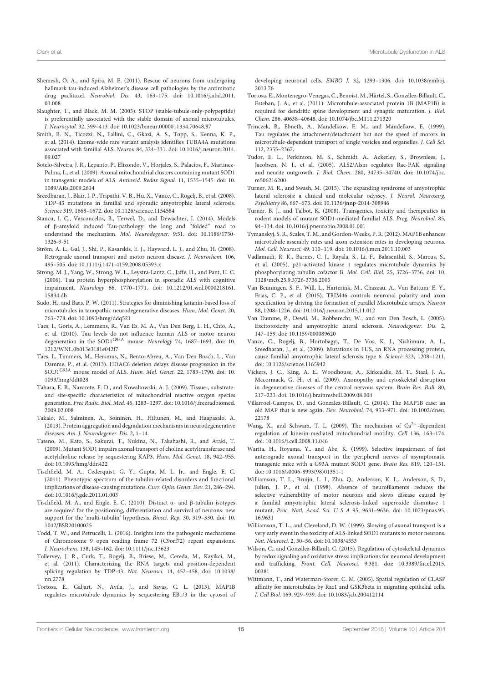- Shemesh, O. A., and Spira, M. E. (2011). Rescue of neurons from undergoing hallmark tau-induced Alzheimer's disease cell pathologies by the antimitotic drug paclitaxel. Neurobiol. Dis. 43, 163–175. doi: 10.1016/j.nbd.2011. 03.008
- Slaughter, T., and Black, M. M. (2003). STOP (stable-tubule-only-polypeptide) is preferentially associated with the stable domain of axonal microtubules. J. Neurocytol. 32, 399–413. doi: 10.1023/b:neur.0000011334.70648.87
- Smith, B. N., Ticozzi, N., Fallini, C., Gkazi, A. S., Topp, S., Kenna, K. P., et al. (2014). Exome-wide rare variant analysis identifies TUBA4A mutations associated with familial ALS. Neuron 84, 324–331. doi: 10.1016/j.neuron.2014. 09.027
- Sotelo-Silveira, J. R., Lepanto, P., Elizondo, V., Horjales, S., Palacios, F., Martinez-Palma, L., et al. (2009). Axonal mitochondrial clusters containing mutant SOD1 in transgenic models of ALS. Antioxid. Redox Signal. 11, 1535–1545. doi: 10. 1089/ARs.2009.2614
- Sreedharan, J., Blair, I. P., Tripathi, V. B., Hu, X., Vance, C., Rogelj, B., et al. (2008). TDP-43 mutations in familial and sporadic amyotrophic lateral sclerosis. Science 319, 1668–1672. doi: 10.1126/science.1154584
- Stancu, I. C., Vasconcelos, B., Terwel, D., and Dewachter, I. (2014). Models of β-amyloid induced Tau-pathology: the long and ''folded'' road to understand the mechanism. Mol. Neurodegener. 9:51. doi: 10.1186/1750- 1326-9-51
- Ström, A. L., Gal, J., Shi, P., Kasarskis, E. J., Hayward, L. J., and Zhu, H. (2008). Retrograde axonal transport and motor neuron disease. J. Neurochem. 106, 495–505. doi: 10.1111/j.1471-4159.2008.05393.x
- Strong, M. J., Yang, W., Strong, W. L., Leystra-Lantz, C., Jaffe, H., and Pant, H. C. (2006). Tau protein hyperphosphorylation in sporadic ALS with cognitive impairment. Neurology 66, 1770–1771. doi: 10.1212/01.wnl.0000218161. 15834.db
- Sudo, H., and Baas, P. W. (2011). Strategies for diminishing katanin-based loss of microtubules in tauopathic neurodegenerative diseases. Hum. Mol. Genet. 20, 763–778. doi: 10.1093/hmg/ddq521
- Taes, I., Goris, A., Lemmens, R., Van Es, M. A., Van Den Berg, L. H., Chio, A., et al. (2010). Tau levels do not influence human ALS or motor neuron degeneration in the SOD1<sup>G93A</sup> mouse. Neurology 74, 1687-1693. doi: 10. 1212/WNL.0b013e3181e042f7
- Taes, I., Timmers, M., Hersmus, N., Bento-Abreu, A., Van Den Bosch, L., Van Damme, P., et al. (2013). HDAC6 deletion delays disease progression in the SOD1G93A mouse model of ALS. Hum. Mol. Genet. 22, 1783–1790. doi: 10. 1093/hmg/ddt028
- Tahara, E. B., Navarete, F. D., and Kowaltowski, A. J. (2009). Tissue-, substrateand site-specific characteristics of mitochondrial reactive oxygen species generation. Free Radic. Biol. Med. 46, 1283–1297. doi: 10.1016/j.freeradbiomed. 2009.02.008
- Takalo, M., Salminen, A., Soininen, H., Hiltunen, M., and Haapasalo, A. (2013). Protein aggregation and degradation mechanisms in neurodegenerative diseases. Am. J. Neurodegener. Dis. 2, 1–14.
- Tateno, M., Kato, S., Sakurai, T., Nukina, N., Takahashi, R., and Araki, T. (2009). Mutant SOD1 impairs axonal transport of choline acetyltransferase and acetylcholine release by sequestering KAP3. Hum. Mol. Genet. 18, 942–955. doi: 10.1093/hmg/ddn422
- Tischfield, M. A., Cederquist, G. Y., Gupta, M. L. Jr., and Engle, E. C. (2011). Phenotypic spectrum of the tubulin-related disorders and functional implications of disease-causing mutations. Curr. Opin. Genet. Dev. 21, 286–294. doi: 10.1016/j.gde.2011.01.003
- Tischfield, M. A., and Engle, E. C. (2010). Distinct α- and β-tubulin isotypes are required for the positioning, differentiation and survival of neurons: new support for the 'multi-tubulin' hypothesis. Biosci. Rep. 30, 319–330. doi: 10. 1042/BSR20100025
- Todd, T. W., and Petrucelli, L. (2016). Insights into the pathogenic mechanisms of Chromosome 9 open reading frame 72 (C9orf72) repeat expansions. J. Neurochem. 138, 145–162. doi: 10.1111/jnc.13623
- Tollervey, J. R., Curk, T., Rogelj, B., Briese, M., Cereda, M., Kayikci, M., et al. (2011). Characterizing the RNA targets and position-dependent splicing regulation by TDP-43. Nat. Neurosci. 14, 452–458. doi: 10.1038/ nn.2778
- Tortosa, E., Galjart, N., Avila, J., and Sayas, C. L. (2013). MAP1B regulates microtubule dynamics by sequestering EB1/3 in the cytosol of

developing neuronal cells. EMBO J. 32, 1293–1306. doi: 10.1038/emboj. 2013.76

- Tortosa, E., Montenegro-Venegas, C., Benoist, M., Härtel, S., González-Billault, C., Esteban, J. A., et al. (2011). Microtubule-associated protein 1B (MAP1B) is required for dendritic spine development and synaptic maturation. J. Biol. Chem. 286, 40638–40648. doi: 10.1074/jbc.M111.271320
- Trinczek, B., Ebneth, A., Mandelkow, E. M., and Mandelkow, E. (1999). Tau regulates the attachment/detachment but not the speed of motors in microtubule-dependent transport of single vesicles and organelles. J. Cell Sci. 112, 2355–2367.
- Tudor, E. L., Perkinton, M. S., Schmidt, A., Ackerley, S., Brownlees, J., Jacobsen, N. J., et al. (2005). ALS2/Alsin regulates Rac-PAK signaling and neurite outgrowth. J. Biol. Chem. 280, 34735–34740. doi: 10.1074/jbc. m506216200
- Turner, M. R., and Swash, M. (2015). The expanding syndrome of amyotrophic lateral sclerosis: a clinical and molecular odyssey. J. Neurol. Neurosurg. Psychiatry 86, 667–673. doi: 10.1136/jnnp-2014-308946
- Turner, B. J., and Talbot, K. (2008). Transgenics, toxicity and therapeutics in rodent models of mutant SOD1-mediated familial ALS. Prog. Neurobiol. 85, 94–134. doi: 10.1016/j.pneurobio.2008.01.001
- Tymanskyj, S. R., Scales, T. M., and Gordon-Weeks, P. R. (2012). MAP1B enhances microtubule assembly rates and axon extension rates in developing neurons. Mol. Cell. Neurosci. 49, 110–119. doi: 10.1016/j.mcn.2011.10.003
- Vadlamudi, R. K., Barnes, C. J., Rayala, S., Li, F., Balasenthil, S., Marcus, S., et al. (2005). p21-activated kinase 1 regulates microtubule dynamics by phosphorylating tubulin cofactor B. Mol. Cell. Biol. 25, 3726–3736. doi: 10. 1128/mcb.25.9.3726-3736.2005
- Van Beuningen, S. F., Will, L., Harterink, M., Chazeau, A., Van Battum, E. Y., Frias, C. P., et al. (2015). TRIM46 controls neuronal polarity and axon specification by driving the formation of parallel Microtubule arrays. Neuron 88, 1208–1226. doi: 10.1016/j.neuron.2015.11.012
- Van Damme, P., Dewil, M., Robberecht, W., and van Den Bosch, L. (2005). Excitotoxicity and amyotrophic lateral sclerosis. Neurodegener. Dis. 2, 147–159. doi: 10.1159/000089620
- Vance, C., Rogelj, B., Hortobagyi, T., De Vos, K. J., Nishimura, A. L., Sreedharan, J., et al. (2009). Mutations in FUS, an RNA processing protein, cause familial amyotrophic lateral sclerosis type 6. Science 323, 1208–1211. doi: 10.1126/science.1165942
- Vickers, J. C., King, A. E., Woodhouse, A., Kirkcaldie, M. T., Staal, J. A., Mccormack, G. H., et al. (2009). Axonopathy and cytoskeletal disruption in degenerative diseases of the central nervous system. Brain Res. Bull. 80, 217–223. doi: 10.1016/j.brainresbull.2009.08.004
- Villarroel-Campos, D., and Gonzalez-Billault, C. (2014). The MAP1B case: an old MAP that is new again. Dev. Neurobiol. 74, 953–971. doi: 10.1002/dneu. 22178
- Wang, X., and Schwarz, T. L. (2009). The mechanism of  $Ca^{2+}$ -dependent regulation of kinesin-mediated mitochondrial motility. Cell 136, 163–174. doi: 10.1016/j.cell.2008.11.046
- Warita, H., Itoyama, Y., and Abe, K. (1999). Selective impairment of fast anterograde axonal transport in the peripheral nerves of asymptomatic transgenic mice with a G93A mutant SOD1 gene. Brain Res. 819, 120–131. doi: 10.1016/s0006-8993(98)01351-1
- Williamson, T. L., Bruijn, L. I., Zhu, Q., Anderson, K. L., Anderson, S. D., Julien, J. P., et al. (1998). Absence of neurofilaments reduces the selective vulnerability of motor neurons and slows disease caused by a familial amyotrophic lateral sclerosis-linked superoxide dismutase 1 mutant. Proc. Natl. Acad. Sci. U S A 95, 9631–9636. doi: 10.1073/pnas.95. 16.9631
- Williamson, T. L., and Cleveland, D. W. (1999). Slowing of axonal transport is a very early event in the toxicity of ALS-linked SOD1 mutants to motor neurons. Nat. Neurosci. 2, 50–56. doi: 10.1038/4553
- Wilson, C., and González-Billault, C. (2015). Regulation of cytoskeletal dynamics by redox signaling and oxidative stress: implications for neuronal development and trafficking. Front. Cell. Neurosci. 9:381. doi: 10.3389/fncel.2015. 00381
- Wittmann, T., and Waterman-Storer, C. M. (2005). Spatial regulation of CLASP affinity for microtubules by Rac1 and GSK3beta in migrating epithelial cells. J. Cell Biol. 169, 929–939. doi: 10.1083/jcb.200412114

Frontiers in Cellular Neuroscience | www.frontiersin.org 15 15 September 2016 | Volume 10 | Article 204